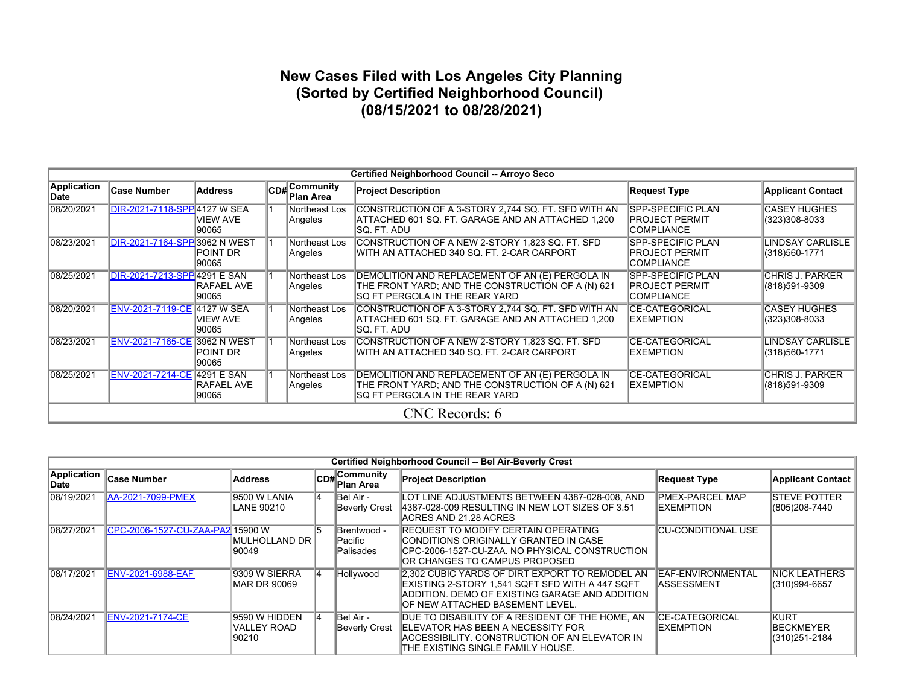## **New Cases Filed with Los Angeles City Planning (Sorted by Certified Neighborhood Council) (08/15/2021 to 08/28/2021)**

|                     | Certified Neighborhood Council -- Arroyo Seco |                          |  |                                              |                                                                                                                                        |                                                                        |                                          |  |  |  |  |  |  |
|---------------------|-----------------------------------------------|--------------------------|--|----------------------------------------------|----------------------------------------------------------------------------------------------------------------------------------------|------------------------------------------------------------------------|------------------------------------------|--|--|--|--|--|--|
| Application<br>Date | <b>Case Number</b>                            | <b>Address</b>           |  | CD# <sup>Community</sup><br><b>Plan Area</b> | <b>Project Description</b>                                                                                                             | <b>Request Type</b>                                                    | <b>Applicant Contact</b>                 |  |  |  |  |  |  |
| 08/20/2021          | DIR-2021-7118-SPP 4127 W SEA                  | <b>VIEW AVE</b><br>90065 |  | Northeast Los<br>Angeles                     | CONSTRUCTION OF A 3-STORY 2,744 SQ. FT. SFD WITH AN<br>ATTACHED 601 SQ. FT. GARAGE AND AN ATTACHED 1,200<br>isq. Ft. Adu               | <b>SPP-SPECIFIC PLAN</b><br>PROJECT PERMIT<br><b>COMPLIANCE</b>        | <b>CASEY HUGHES</b><br>(323)308-8033     |  |  |  |  |  |  |
| 08/23/2021          | DIR-2021-7164-SPP 3962 N WEST                 | POINT DR<br>90065        |  | Northeast Los<br>Angeles                     | CONSTRUCTION OF A NEW 2-STORY 1,823 SQ. FT. SFD<br>WITH AN ATTACHED 340 SQ. FT. 2-CAR CARPORT                                          | <b>SPP-SPECIFIC PLAN</b><br>PROJECT PERMIT<br><b>COMPLIANCE</b>        | <b>LINDSAY CARLISLE</b><br>(318)560-1771 |  |  |  |  |  |  |
| 08/25/2021          | DIR-2021-7213-SPP 4291 E SAN                  | RAFAEL AVE<br>90065      |  | Northeast Los<br>Angeles                     | DEMOLITION AND REPLACEMENT OF AN (E) PERGOLA IN<br>THE FRONT YARD; AND THE CONSTRUCTION OF A (N) 621<br>SQ FT PERGOLA IN THE REAR YARD | <b>SPP-SPECIFIC PLAN</b><br><b>PROJECT PERMIT</b><br><b>COMPLIANCE</b> | <b>CHRIS J. PARKER</b><br>(818)591-9309  |  |  |  |  |  |  |
| 08/20/2021          | ENV-2021-7119-CE 4127 W SEA                   | <b>VIEW AVE</b><br>90065 |  | Northeast Los<br>Angeles                     | CONSTRUCTION OF A 3-STORY 2,744 SQ. FT. SFD WITH AN<br>ATTACHED 601 SQ. FT. GARAGE AND AN ATTACHED 1,200<br>isq. Ft. Adu               | <b>CE-CATEGORICAL</b><br>EXEMPTION                                     | <b>CASEY HUGHES</b><br>(323)308-8033     |  |  |  |  |  |  |
| 08/23/2021          | <b>ENV-2021-7165-CE 3962 N WEST</b>           | POINT DR<br>90065        |  | Northeast Los<br>Angeles                     | CONSTRUCTION OF A NEW 2-STORY 1,823 SQ. FT. SFD<br>IWITH AN ATTACHED 340 SQ. FT. 2-CAR CARPORT                                         | <b>CE-CATEGORICAL</b><br>EXEMPTION                                     | LINDSAY CARLISLE<br>(318)560-1771        |  |  |  |  |  |  |
| 08/25/2021          | ENV-2021-7214-CE 4291 E SAN                   | RAFAEL AVE<br>90065      |  | Northeast Los<br>Angeles                     | DEMOLITION AND REPLACEMENT OF AN (E) PERGOLA IN<br>THE FRONT YARD; AND THE CONSTRUCTION OF A (N) 621<br>SQ FT PERGOLA IN THE REAR YARD | <b>CE-CATEGORICAL</b><br>EXEMPTION                                     | <b>CHRIS J. PARKER</b><br>(818)591-9309  |  |  |  |  |  |  |
|                     |                                               |                          |  |                                              | CNC Records: 6                                                                                                                         |                                                                        |                                          |  |  |  |  |  |  |

|                      | Certified Neighborhood Council -- Bel Air-Beverly Crest |                                       |    |                                           |                                                                                                                                                                                         |                                               |                                                   |  |  |  |  |  |  |  |
|----------------------|---------------------------------------------------------|---------------------------------------|----|-------------------------------------------|-----------------------------------------------------------------------------------------------------------------------------------------------------------------------------------------|-----------------------------------------------|---------------------------------------------------|--|--|--|--|--|--|--|
| Application<br>∣Date | <b>Case Number</b>                                      | <b>Address</b>                        |    | $C$ <sub>CD#</sub> Community<br>Plan Area | <b>Project Description</b>                                                                                                                                                              | <b>Request Type</b>                           | <b>Applicant Contact</b>                          |  |  |  |  |  |  |  |
| 08/19/2021           | <b>AA-2021-7099-PMEX</b>                                | 9500 W LANIA<br>LANE 90210            | 14 | Bel Air -<br><b>Beverly Crest</b>         | LOT LINE ADJUSTMENTS BETWEEN 4387-028-008. AND<br>4387-028-009 RESULTING IN NEW LOT SIZES OF 3.51<br>IACRES AND 21.28 ACRES                                                             | <b>PMEX-PARCEL MAP</b><br><b>IEXEMPTION</b>   | <b>ISTEVE POTTER</b><br>(805) 208-7440            |  |  |  |  |  |  |  |
| 08/27/2021           | CPC-2006-1527-CU-ZAA-PA2 15900 W                        | IMULHOLLAND DR I<br>90049             | 15 | Brentwood -<br>lPacific<br>Palisades      | <b>REQUEST TO MODIFY CERTAIN OPERATING</b><br>ICONDITIONS ORIGINALLY GRANTED IN CASE<br>ICPC-2006-1527-CU-ZAA. NO PHYSICAL CONSTRUCTION<br>IOR CHANGES TO CAMPUS PROPOSED               | <b>CU-CONDITIONAL USE</b>                     |                                                   |  |  |  |  |  |  |  |
| 08/17/2021           | <b>ENV-2021-6988-EAF</b>                                | 9309 W SIERRA<br>MAR DR 90069         |    | Hollywood                                 | 2.302 CUBIC YARDS OF DIRT EXPORT TO REMODEL AN<br>EXISTING 2-STORY 1.541 SQFT SFD WITH A 447 SQFT<br>ADDITION. DEMO OF EXISTING GARAGE AND ADDITION<br>IOF NEW ATTACHED BASEMENT LEVEL. | <b>EAF-ENVIRONMENTAL</b><br><b>ASSESSMENT</b> | <b>NICK LEATHERS</b><br>(310)994-6657             |  |  |  |  |  |  |  |
| 108/24/2021          | <b>ENV-2021-7174-CE</b>                                 | 9590 W HIDDEN<br>VALLEY ROAD<br>90210 |    | Bel Air -<br>Beverly Crest                | DUE TO DISABILITY OF A RESIDENT OF THE HOME, AN<br><b>IELEVATOR HAS BEEN A NECESSITY FOR</b><br>ACCESSIBILITY. CONSTRUCTION OF AN ELEVATOR IN<br>THE EXISTING SINGLE FAMILY HOUSE.      | <b>ICE-CATEGORICAL</b><br><b>IEXEMPTION</b>   | <b>KURT</b><br><b>BECKMEYER</b><br>(310) 251-2184 |  |  |  |  |  |  |  |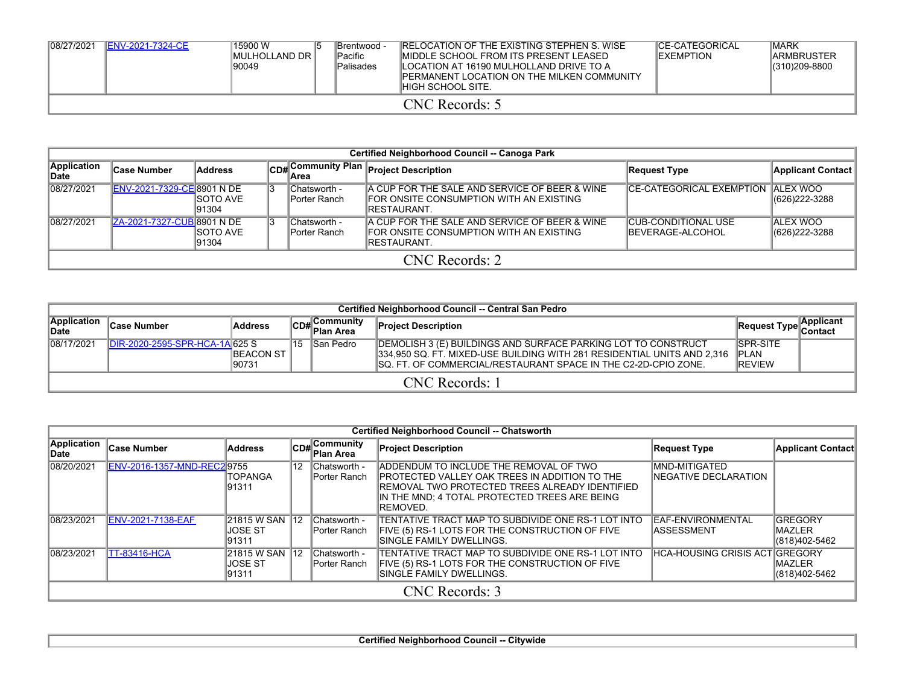| 08/27/2021 | <b>IENV-2021-7324-CE</b> | l15900 W<br>IMULHOLLAND DR I<br>90049 | <b>IBrentwood -</b><br><b>Pacific</b><br><b>Palisades</b> | <b>IRELOCATION OF THE EXISTING STEPHEN S. WISE</b><br>IMIDDLE SCHOOL FROM ITS PRESENT LEASED<br>ILOCATION AT 16190 MULHOLLAND DRIVE TO A<br><b>IPERMANENT LOCATION ON THE MILKEN COMMUNITY</b><br>IHIGH SCHOOL SITE. | <b>ICE-CATEGORICAL</b><br><b>IEXEMPTION</b> | <b>IMARK</b><br><b>IARMBRUSTER</b><br>(310)209-8800 |
|------------|--------------------------|---------------------------------------|-----------------------------------------------------------|----------------------------------------------------------------------------------------------------------------------------------------------------------------------------------------------------------------------|---------------------------------------------|-----------------------------------------------------|
|            |                          |                                       |                                                           | CNC Records: 5                                                                                                                                                                                                       |                                             |                                                     |

|                      | Certified Neighborhood Council -- Canoga Park |                            |  |                              |                                                                                                           |                                                        |                                   |  |  |  |  |  |  |
|----------------------|-----------------------------------------------|----------------------------|--|------------------------------|-----------------------------------------------------------------------------------------------------------|--------------------------------------------------------|-----------------------------------|--|--|--|--|--|--|
| Application<br>∣Date | <b>Case Number</b>                            | <b>Address</b>             |  | ⊪Area                        | CD# Community Plan Project Description                                                                    | Request Type                                           | <b>Applicant Contact</b>          |  |  |  |  |  |  |
| 08/27/2021           | ENV-2021-7329-CE 8901 N DE                    | <b>ISOTO AVE</b><br>191304 |  | Chatsworth -<br>Porter Ranch | A CUP FOR THE SALE AND SERVICE OF BEER & WINE<br>IFOR ONSITE CONSUMPTION WITH AN EXISTING<br>IRESTAURANT. | <b>ICE-CATEGORICAL EXEMPTION ALEX WOO</b>              | (626) 222-3288                    |  |  |  |  |  |  |
| 08/27/2021           | ZA-2021-7327-CUB 8901 N DE                    | <b>ISOTO AVE</b><br>191304 |  | Chatsworth -<br>Porter Ranch | A CUP FOR THE SALE AND SERVICE OF BEER & WINE<br>IFOR ONSITE CONSUMPTION WITH AN EXISTING<br>IRESTAURANT. | <b>CUB-CONDITIONAL USE</b><br><b>IBEVERAGE-ALCOHOL</b> | <b>ALEX WOO</b><br>(626) 222-3288 |  |  |  |  |  |  |
|                      | CNC Records: 2                                |                            |  |                              |                                                                                                           |                                                        |                                   |  |  |  |  |  |  |

|                             | Certified Neighborhood Council -- Central San Pedro |                             |     |                                     |                                                                                                                                                                                                             |                                                    |            |  |  |  |  |  |
|-----------------------------|-----------------------------------------------------|-----------------------------|-----|-------------------------------------|-------------------------------------------------------------------------------------------------------------------------------------------------------------------------------------------------------------|----------------------------------------------------|------------|--|--|--|--|--|
| Application<br><b>IDate</b> | ∣Case Number                                        | <b>Address</b>              |     | ∣Communitv<br>lCD# C∿.<br>Plan Area | <b>Project Description</b>                                                                                                                                                                                  | Request Type Contact                               | ∣Applicant |  |  |  |  |  |
| 08/17/2021                  | DIR-2020-2595-SPR-HCA-1A 625 S                      | <b>IBEACON ST</b><br>190731 | ⊺15 | San Pedro                           | DEMOLISH 3 (E) BUILDINGS AND SURFACE PARKING LOT TO CONSTRUCT<br>334,950 SQ. FT. MIXED-USE BUILDING WITH 281 RESIDENTIAL UNITS AND 2,316<br>ISQ. FT. OF COMMERCIAL/RESTAURANT SPACE IN THE C2-2D-CPIO ZONE. | <b>ISPR-SITE</b><br><b>IPLAN</b><br><b>IREVIEW</b> |            |  |  |  |  |  |
| CNC Records: 1              |                                                     |                             |     |                                     |                                                                                                                                                                                                             |                                                    |            |  |  |  |  |  |

|                      | <b>Certified Neighborhood Council -- Chatsworth</b> |                                        |              |                                       |                                                                                                                                                                                                           |                                               |                                                   |  |  |  |  |  |  |
|----------------------|-----------------------------------------------------|----------------------------------------|--------------|---------------------------------------|-----------------------------------------------------------------------------------------------------------------------------------------------------------------------------------------------------------|-----------------------------------------------|---------------------------------------------------|--|--|--|--|--|--|
| Application<br>∣Date | <b>Case Number</b>                                  | <b>Address</b>                         |              | $ CDH $ Community<br><b>Plan Area</b> | <b>Project Description</b>                                                                                                                                                                                | <b>Request Type</b>                           | <b>Applicant Contact</b>                          |  |  |  |  |  |  |
| 08/20/2021           | ENV-2016-1357-MND-REC2 9755                         | <b>TOPANGA</b><br>191311               | 12           | Chatsworth -<br>Porter Ranch          | ADDENDUM TO INCLUDE THE REMOVAL OF TWO<br>IPROTECTED VALLEY OAK TREES IN ADDITION TO THE<br>IREMOVAL TWO PROTECTED TREES ALREADY IDENTIFIED<br>IIN THE MND: 4 TOTAL PROTECTED TREES ARE BEING<br>REMOVED. | <b>MND-MITIGATED</b><br>INEGATIVE DECLARATION |                                                   |  |  |  |  |  |  |
| 08/23/2021           | <b>ENV-2021-7138-EAF</b>                            | 21815 W SAN<br><b>JOSE ST</b><br>91311 | $ 12\rangle$ | Chatsworth -<br>Porter Ranch          | TENTATIVE TRACT MAP TO SUBDIVIDE ONE RS-1 LOT INTO<br>FIVE (5) RS-1 LOTS FOR THE CONSTRUCTION OF FIVE<br>ISINGLE FAMILY DWELLINGS.                                                                        | <b>EAF-ENVIRONMENTAL</b><br><b>ASSESSMENT</b> | <b>GREGORY</b><br><b>IMAZLER</b><br>(818)402-5462 |  |  |  |  |  |  |
| 08/23/2021           | <b>TT-83416-HCA</b>                                 | 21815 W SAN<br>JOSE ST<br>91311        | $ 12\rangle$ | Chatsworth -<br>Porter Ranch          | TENTATIVE TRACT MAP TO SUBDIVIDE ONE RS-1 LOT INTO<br>FIVE (5) RS-1 LOTS FOR THE CONSTRUCTION OF FIVE<br><b>SINGLE FAMILY DWELLINGS.</b>                                                                  | <b>HCA-HOUSING CRISIS ACTIGREGORY</b>         | <b>IMAZLER</b><br>(818)402-5462                   |  |  |  |  |  |  |
|                      | CNC Records: 3                                      |                                        |              |                                       |                                                                                                                                                                                                           |                                               |                                                   |  |  |  |  |  |  |

**Certified Neighborhood Council -- Citywide**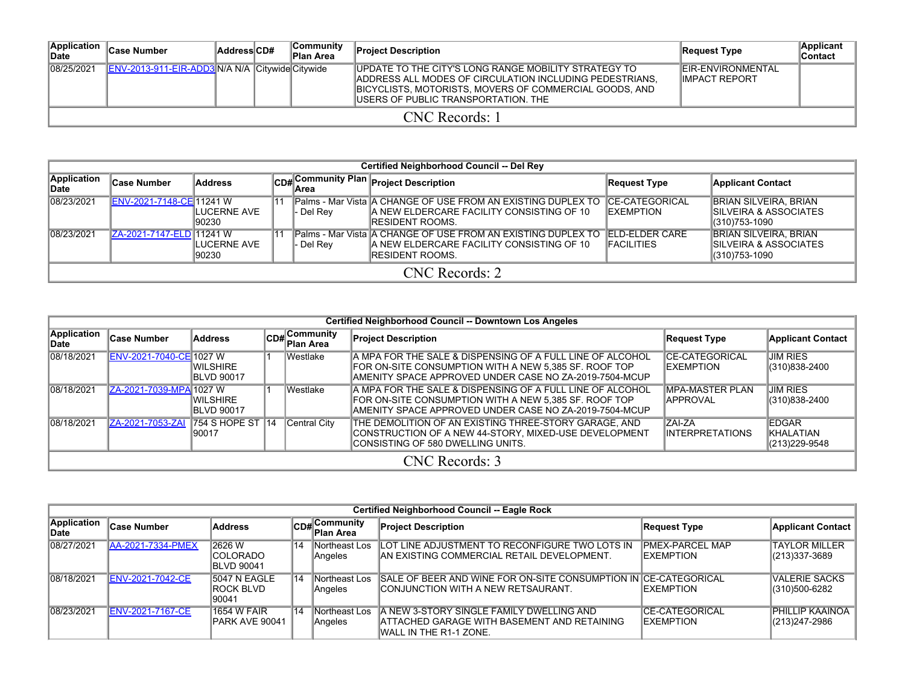| Application<br><b>IDate</b> | ∣Case Number                                    | AddressCD# |  | ∣Communitv<br><b>Plan Area</b> | <b>Project Description</b>                                                                                                                                                                                        | Request Type                                       | <b>Applicant</b><br>Contact |  |  |  |  |  |  |
|-----------------------------|-------------------------------------------------|------------|--|--------------------------------|-------------------------------------------------------------------------------------------------------------------------------------------------------------------------------------------------------------------|----------------------------------------------------|-----------------------------|--|--|--|--|--|--|
| 08/25/2021                  | ENV-2013-911-EIR-ADD3 N/A N/A Citywide Citywide |            |  |                                | UPDATE TO THE CITY'S LONG RANGE MOBILITY STRATEGY TO<br>ADDRESS ALL MODES OF CIRCULATION INCLUDING PEDESTRIANS.<br>BICYCLISTS, MOTORISTS, MOVERS OF COMMERCIAL GOODS, AND<br>IUSERS OF PUBLIC TRANSPORTATION. THE | <b>IEIR-ENVIRONMENTAL</b><br><b>IIMPACT REPORT</b> |                             |  |  |  |  |  |  |
|                             | CNC Records: 1                                  |            |  |                                |                                                                                                                                                                                                                   |                                                    |                             |  |  |  |  |  |  |

|                            | Certified Neighborhood Council -- Del Rey |                       |  |           |                                                                                                                                               |                                             |                                                                         |  |  |  |  |  |  |  |
|----------------------------|-------------------------------------------|-----------------------|--|-----------|-----------------------------------------------------------------------------------------------------------------------------------------------|---------------------------------------------|-------------------------------------------------------------------------|--|--|--|--|--|--|--|
| Application<br><b>Date</b> | <b>Case Number</b>                        | <b>Address</b>        |  |           | CD# Community Plan Project Description                                                                                                        | <b>Request Type</b>                         | <b>Applicant Contact</b>                                                |  |  |  |  |  |  |  |
| 08/23/2021                 | ENV-2021-7148-CE 11241 W                  | ILUCERNE AVE<br>90230 |  | - Del Rev | Palms - Mar Vista A CHANGE OF USE FROM AN EXISTING DUPLEX TO<br>IA NEW ELDERCARE FACILITY CONSISTING OF 10<br><b>IRESIDENT ROOMS.</b>         | <b>ICE-CATEGORICAL</b><br><b>IEXEMPTION</b> | <b>BRIAN SILVEIRA, BRIAN</b><br>ISILVEIRA & ASSOCIATES<br>(310)753-1090 |  |  |  |  |  |  |  |
| 08/23/2021                 | ZA-2021-7147-ELD 11241 W                  | ILUCERNE AVE<br>90230 |  | - Del Rev | <b>IPalms - Mar Vista A CHANGE OF USE FROM AN EXISTING DUPLEX TO</b><br>IA NEW ELDERCARE FACILITY CONSISTING OF 10<br><b>IRESIDENT ROOMS.</b> | <b>FLD-FLDER CARE</b><br><b>IFACILITIES</b> | <b>BRIAN SILVEIRA, BRIAN</b><br>ISILVEIRA & ASSOCIATES<br>(310)753-1090 |  |  |  |  |  |  |  |
| CNC Records: 2             |                                           |                       |  |           |                                                                                                                                               |                                             |                                                                         |  |  |  |  |  |  |  |

|                      | Certified Neighborhood Council -- Downtown Los Angeles |                                       |  |                                      |                                                                                                                                                                               |                                             |                                              |  |  |  |  |  |  |  |
|----------------------|--------------------------------------------------------|---------------------------------------|--|--------------------------------------|-------------------------------------------------------------------------------------------------------------------------------------------------------------------------------|---------------------------------------------|----------------------------------------------|--|--|--|--|--|--|--|
| Application<br>∣Date | <b>Case Number</b>                                     | <b>Address</b>                        |  | $CD#$ Community<br><b>∣Plan Area</b> | <b>Project Description</b>                                                                                                                                                    | <b>Request Type</b>                         | <b>Applicant Contact</b>                     |  |  |  |  |  |  |  |
| 08/18/2021           | ENV-2021-7040-CE 1027 W                                | <b>WILSHIRE</b><br><b>IBLVD 90017</b> |  | Westlake                             | IA MPA FOR THE SALE & DISPENSING OF A FULL LINE OF ALCOHOL<br>FOR ON-SITE CONSUMPTION WITH A NEW 5.385 SF. ROOF TOP<br>AMENITY SPACE APPROVED UNDER CASE NO ZA-2019-7504-MCUP | <b>ICE-CATEGORICAL</b><br><b>IEXEMPTION</b> | <b>JIM RIES</b><br>(310)838-2400             |  |  |  |  |  |  |  |
| 08/18/2021           | ZA-2021-7039-MPA 1027 W                                | IWILSHIRE<br><b>IBLVD 90017</b>       |  | Westlake                             | A MPA FOR THE SALE & DISPENSING OF A FULL LINE OF ALCOHOL<br>IFOR ON-SITE CONSUMPTION WITH A NEW 5.385 SF. ROOF TOP<br>AMENITY SPACE APPROVED UNDER CASE NO ZA-2019-7504-MCUP | <b>IMPA-MASTER PLAN</b><br><b>IAPPROVAL</b> | <b>JIM RIES</b><br>(310)838-2400             |  |  |  |  |  |  |  |
| 08/18/2021           | ZA-2021-7053-ZAI                                       | 754 S HOPE ST 14<br>190017            |  | Central City                         | THE DEMOLITION OF AN EXISTING THREE-STORY GARAGE, AND<br>CONSTRUCTION OF A NEW 44-STORY, MIXED-USE DEVELOPMENT<br>CONSISTING OF 580 DWELLING UNITS.                           | <b>ZAI-ZA</b><br><b>IINTERPRETATIONS</b>    | <b>EDGAR</b><br>IKHALATIAN<br>(213) 229-9548 |  |  |  |  |  |  |  |
|                      |                                                        |                                       |  |                                      | CNC Records: 3                                                                                                                                                                |                                             |                                              |  |  |  |  |  |  |  |

|                      | Certified Neighborhood Council -- Eagle Rock |                                                   |             |                                      |                                                                                                                    |                                             |                                                  |  |  |  |  |  |  |
|----------------------|----------------------------------------------|---------------------------------------------------|-------------|--------------------------------------|--------------------------------------------------------------------------------------------------------------------|---------------------------------------------|--------------------------------------------------|--|--|--|--|--|--|
| Application<br>∣Date | ∣Case Number                                 | <b>Address</b>                                    |             | $ CD#$ Community<br><b>Plan Area</b> | <b>Project Description</b>                                                                                         | Request Type                                | <b>Applicant Contact</b>                         |  |  |  |  |  |  |
| 08/27/2021           | AA-2021-7334-PMEX                            | 2626 W<br>ICOLORADO<br><b>IBLVD 90041</b>         | $\sqrt{14}$ | Northeast Los<br>Angeles             | ILOT LINE ADJUSTMENT TO RECONFIGURE TWO LOTS IN<br>IAN EXISTING COMMERCIAL RETAIL DEVELOPMENT.                     | <b>PMEX-PARCEL MAP</b><br><b>IEXEMPTION</b> | <b>TAYLOR MILLER</b><br>$\frac{1}{213}$ 337-3689 |  |  |  |  |  |  |
| 08/18/2021           | <b>ENV-2021-7042-CE</b>                      | <b>5047 N EAGLE</b><br><b>IROCK BLVD</b><br>90041 | $\sqrt{14}$ | Northeast Los<br>Angeles             | SALE OF BEER AND WINE FOR ON-SITE CONSUMPTION IN CE-CATEGORICAL<br>ICONJUNCTION WITH A NEW RETSAURANT.             | <b>IEXEMPTION</b>                           | <b>VALERIE SACKS</b><br>(310)500-6282            |  |  |  |  |  |  |
| 08/23/2021           | ENV-2021-7167-CE                             | 1654 W FAIR<br>PARK AVE 90041                     | 114         | Northeast Los<br>Angeles             | A NEW 3-STORY SINGLE FAMILY DWELLING AND<br>ATTACHED GARAGE WITH BASEMENT AND RETAINING<br>IWALL IN THE R1-1 ZONE. | <b>ICE-CATEGORICAL</b><br><b>IEXEMPTION</b> | <b>PHILLIP KAAINOA</b><br>(213) 247-2986         |  |  |  |  |  |  |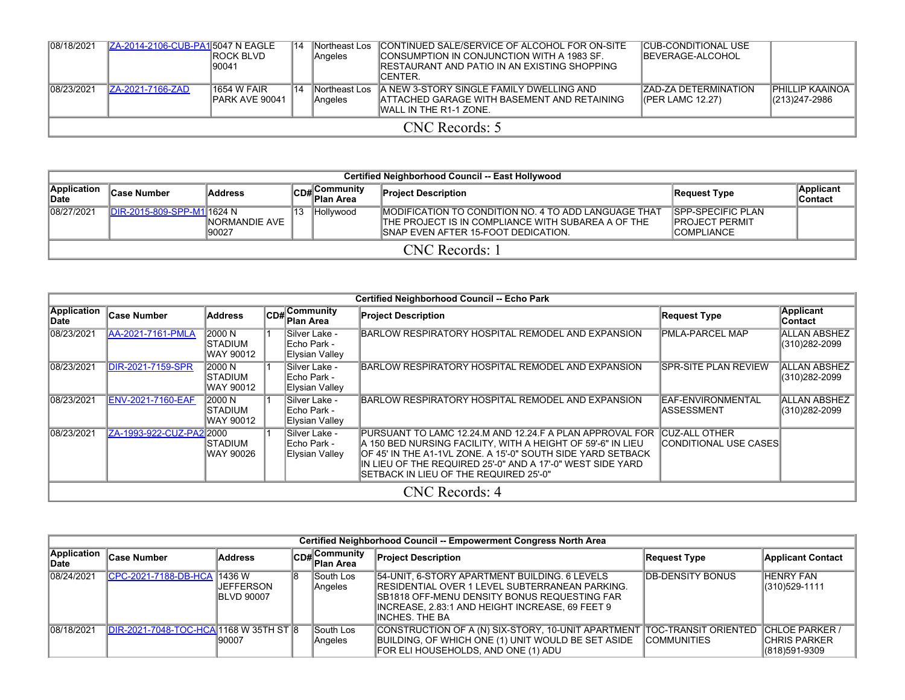| 08/18/2021 | ZA-2014-2106-CUB-PA15047 N EAGLE | <b>IROCK BLVD</b><br>190041           | 14 | Northeast Los<br>Angeles | CONTINUED SALE/SERVICE OF ALCOHOL FOR ON-SITE<br>CONSUMPTION IN CONJUNCTION WITH A 1983 SF.<br>IRESTAURANT AND PATIO IN AN EXISTING SHOPPING<br>ICENTER. | <b>CUB-CONDITIONAL USE</b><br><b>IBEVERAGE-ALCOHOL</b> |                                         |  |  |  |  |
|------------|----------------------------------|---------------------------------------|----|--------------------------|----------------------------------------------------------------------------------------------------------------------------------------------------------|--------------------------------------------------------|-----------------------------------------|--|--|--|--|
| 08/23/2021 | ZA-2021-7166-ZAD                 | <b>1654 W FAIR</b><br>IPARK AVE 90041 | 14 | Northeast Los<br>Angeles | <b>A NEW 3-STORY SINGLE FAMILY DWELLING AND</b><br><b>ATTACHED GARAGE WITH BASEMENT AND RETAINING</b><br>IWALL IN THE R1-1 ZONE.                         | <b>ZAD-ZA DETERMINATION</b><br>(CPER LAMC 12.27)       | <b>PHILLIP KAAINOA</b><br>(213)247-2986 |  |  |  |  |
|            | CNC Records: 5                   |                                       |    |                          |                                                                                                                                                          |                                                        |                                         |  |  |  |  |

|                      | Certified Neighborhood Council -- East Hollywood |                         |    |                           |                                                                                                                                                     |                                                                          |                       |  |  |  |  |  |  |
|----------------------|--------------------------------------------------|-------------------------|----|---------------------------|-----------------------------------------------------------------------------------------------------------------------------------------------------|--------------------------------------------------------------------------|-----------------------|--|--|--|--|--|--|
| Application<br>∥Date | ∣Case Number                                     | <b>Address</b>          |    | CD#Community<br>Plan Area | <b>Project Description</b>                                                                                                                          | Request Type                                                             | Applicant<br>∣Contact |  |  |  |  |  |  |
| 08/27/2021           | DIR-2015-809-SPP-M1l1624 N                       | INORMANDIE AVE<br>90027 | 13 | Hollywood                 | IMODIFICATION TO CONDITION NO. 4 TO ADD LANGUAGE THAT<br>THE PROJECT IS IN COMPLIANCE WITH SUBAREA A OF THE<br>ISNAP EVEN AFTER 15-FOOT DEDICATION. | <b>ISPP-SPECIFIC PLAN</b><br><b>IPROJECT PERMIT</b><br><b>COMPLIANCE</b> |                       |  |  |  |  |  |  |
|                      | CNC Records: 1                                   |                         |    |                           |                                                                                                                                                     |                                                                          |                       |  |  |  |  |  |  |

|                            |                          |                                        |                                                 | <b>Certified Neighborhood Council -- Echo Park</b>                                                                                                                                                                                                                                              |                                         |                                      |
|----------------------------|--------------------------|----------------------------------------|-------------------------------------------------|-------------------------------------------------------------------------------------------------------------------------------------------------------------------------------------------------------------------------------------------------------------------------------------------------|-----------------------------------------|--------------------------------------|
| <b>Application</b><br>Date | <b>Case Number</b>       | <b>Address</b>                         | $ CD#$ Community<br>∣Plan Area                  | <b>Project Description</b>                                                                                                                                                                                                                                                                      | <b>Request Type</b>                     | <b>Applicant</b><br>Contact          |
| 08/23/2021                 | AA-2021-7161-PMLA        | 2000 N<br><b>ISTADIUM</b><br>WAY 90012 | lSilver Lake -<br>Echo Park -<br>Elysian Valley | BARLOW RESPIRATORY HOSPITAL REMODEL AND EXPANSION                                                                                                                                                                                                                                               | <b>PMLA-PARCEL MAP</b>                  | ALLAN ABSHEZ<br>(310)282-2099        |
| 08/23/2021                 | DIR-2021-7159-SPR        | 2000 N<br>ISTADIUM<br>WAY 90012        | Silver Lake -<br> Echo Park -<br>Elysian Valley | BARLOW RESPIRATORY HOSPITAL REMODEL AND EXPANSION                                                                                                                                                                                                                                               | <b>SPR-SITE PLAN REVIEW</b>             | <b>ALLAN ABSHEZ</b><br>(310)282-2099 |
| 08/23/2021                 | <b>ENV-2021-7160-EAF</b> | 2000 N<br>ISTADIUM<br>WAY 90012        | Silver Lake -<br>IEcho Park -<br>Elysian Valley | BARLOW RESPIRATORY HOSPITAL REMODEL AND EXPANSION                                                                                                                                                                                                                                               | EAF-ENVIRONMENTAL<br><b>ASSESSMENT</b>  | <b>ALLAN ABSHEZ</b><br>(310)282-2099 |
| 08/23/2021                 | ZA-1993-922-CUZ-PA2 2000 | ISTADIUM<br>WAY 90026                  | Silver Lake -<br>IEcho Park -<br>Elysian Valley | PURSUANT TO LAMC 12.24 M AND 12.24 F A PLAN APPROVAL FOR<br>A 150 BED NURSING FACILITY. WITH A HEIGHT OF 59'-6" IN LIEU<br>OF 45' IN THE A1-1VL ZONE. A 15'-0" SOUTH SIDE YARD SETBACK<br>IIN LIEU OF THE REQUIRED 25'-0" AND A 17'-0" WEST SIDE YARD<br>SETBACK IN LIEU OF THE REQUIRED 25'-0" | ICUZ-ALL OTHER<br>CONDITIONAL USE CASES |                                      |
|                            |                          |                                        |                                                 | CNC Records: 4                                                                                                                                                                                                                                                                                  |                                         |                                      |

|                             | Certified Neighborhood Council -- Empowerment Congress North Area |                                                          |  |                             |                                                                                                                                                                                                                       |                          |                                                        |  |  |  |  |  |  |
|-----------------------------|-------------------------------------------------------------------|----------------------------------------------------------|--|-----------------------------|-----------------------------------------------------------------------------------------------------------------------------------------------------------------------------------------------------------------------|--------------------------|--------------------------------------------------------|--|--|--|--|--|--|
| <b>Application</b><br>lDate | <b>Case Number</b>                                                | Address                                                  |  | CD#Community<br>Plan Area   | <b>Project Description</b>                                                                                                                                                                                            | Request Type             | <b>Applicant Contact</b>                               |  |  |  |  |  |  |
| 08/24/2021                  | CPC-2021-7188-DB-HCA                                              | <b>1436 W</b><br><b>IJEFFERSON</b><br><b>IBLVD 90007</b> |  | South Los<br>Angeles        | 54-UNIT, 6-STORY APARTMENT BUILDING. 6 LEVELS<br>RESIDENTIAL OVER 1 LEVEL SUBTERRANEAN PARKING.<br>ISB1818 OFF-MENU DENSITY BONUS REQUESTING FAR<br>INCREASE, 2.83:1 AND HEIGHT INCREASE, 69 FEET 9<br>INCHES. THE BA | <b>IDB-DENSITY BONUS</b> | <b>HENRY FAN</b><br>(310) 529-1111                     |  |  |  |  |  |  |
| 08/18/2021                  | DIR-2021-7048-TOC-HCA 1168 W 35TH ST 8                            | 190007                                                   |  | <b>South Los</b><br>Angeles | CONSTRUCTION OF A (N) SIX-STORY, 10-UNIT APARTMENT TOC-TRANSIT ORIENTED<br>BUILDING, OF WHICH ONE (1) UNIT WOULD BE SET ASIDE<br>FOR ELI HOUSEHOLDS, AND ONE (1) ADU                                                  | <b>COMMUNITIES</b>       | <b>ICHLOE PARKER</b><br>ICHRIS PARKER<br>(818)591-9309 |  |  |  |  |  |  |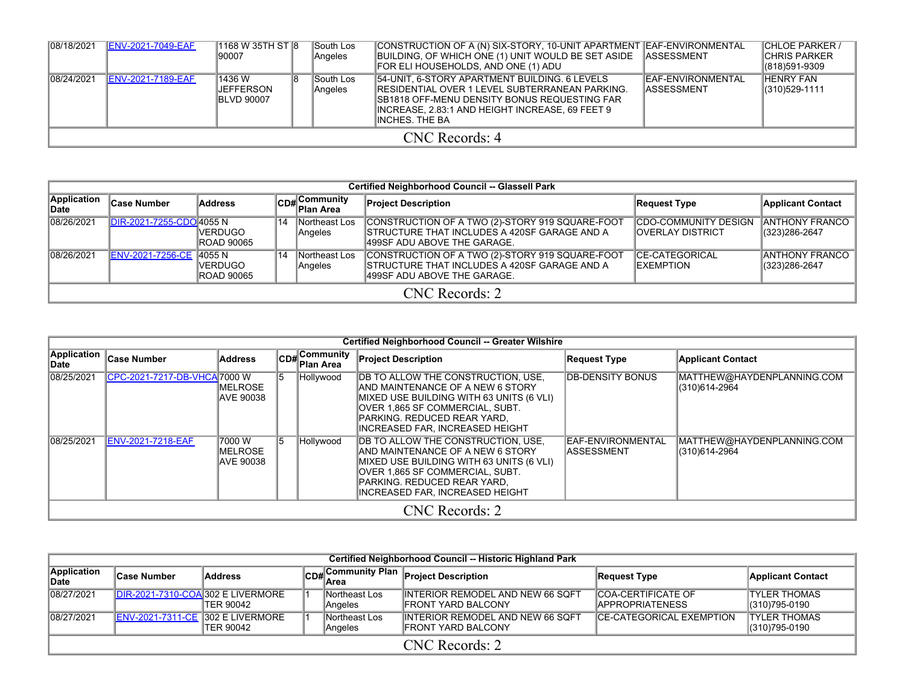| 08/18/2021 | <b>ENV-2021-7049-EAF</b> | 1168 W 35TH ST 8<br>190007                              | South Los<br>Angeles        | CONSTRUCTION OF A (N) SIX-STORY, 10-UNIT APARTMENT EAF-ENVIRONMENTAL<br>BUILDING, OF WHICH ONE (1) UNIT WOULD BE SET ASIDE ASSESSMENT<br>FOR ELI HOUSEHOLDS, AND ONE (1) ADU                                                   |                                                 | <b>CHLOE PARKER /</b><br><b>ICHRIS PARKER</b><br>1318)591-9309 |  |  |  |  |  |  |
|------------|--------------------------|---------------------------------------------------------|-----------------------------|--------------------------------------------------------------------------------------------------------------------------------------------------------------------------------------------------------------------------------|-------------------------------------------------|----------------------------------------------------------------|--|--|--|--|--|--|
| 08/24/2021 | <b>ENV-2021-7189-EAF</b> | 1436 W<br>18<br><b>IJEFFERSON</b><br><b>IBLVD 90007</b> | <b>South Los</b><br>Angeles | 54-UNIT, 6-STORY APARTMENT BUILDING, 6 LEVELS<br><b>IRESIDENTIAL OVER 1 LEVEL SUBTERRANEAN PARKING.</b><br>ISB1818 OFF-MENU DENSITY BONUS REQUESTING FAR<br>IINCREASE. 2.83:1 AND HEIGHT INCREASE. 69 FEET 9<br>INCHES. THE BA | <b>IEAF-ENVIRONMENTAL</b><br><b>IASSESSMENT</b> | <b>HENRY FAN</b><br>(310) 529-1111                             |  |  |  |  |  |  |
|            | CNC Records: 4           |                                                         |                             |                                                                                                                                                                                                                                |                                                 |                                                                |  |  |  |  |  |  |

|                      | Certified Neighborhood Council -- Glassell Park |                                 |    |                            |                                                                                                                                         |                                                   |                                         |  |  |  |  |  |  |
|----------------------|-------------------------------------------------|---------------------------------|----|----------------------------|-----------------------------------------------------------------------------------------------------------------------------------------|---------------------------------------------------|-----------------------------------------|--|--|--|--|--|--|
| Application<br>∣Date | ∣Case Number                                    | <b>Address</b>                  |    | CD# Community<br>Plan Area | <b>Project Description</b>                                                                                                              | Request Type                                      | <b>Applicant Contact</b>                |  |  |  |  |  |  |
| 08/26/2021           | IDIR-2021-7255-CDO 4055 N                       | IVERDUGO<br><b>ROAD 90065</b>   | 14 | Northeast Los<br>Angeles   | CONSTRUCTION OF A TWO (2)-STORY 919 SQUARE-FOOT<br>ISTRUCTURE THAT INCLUDES A 420SF GARAGE AND A<br>499SF ADU ABOVE THE GARAGE.         | ICDO-COMMUNITY DESIGN<br><b>IOVERLAY DISTRICT</b> | <b>ANTHONY FRANCO</b><br>(323) 286-2647 |  |  |  |  |  |  |
| 08/26/2021           | ENV-2021-7256-CE 4055 N                         | IVERDUGO I<br><b>ROAD 90065</b> | 14 | Northeast Los<br>Angeles   | CONSTRUCTION OF A TWO (2)-STORY 919 SQUARE-FOOT<br><b>ISTRUCTURE THAT INCLUDES A 420SF GARAGE AND A</b><br>1499SF ADU ABOVE THE GARAGE. | <b>CE-CATEGORICAL</b><br><b>IEXEMPTION</b>        | IANTHONY FRANCO I<br>(323) 286-2647     |  |  |  |  |  |  |
|                      | CNC Records: 2                                  |                                 |    |                            |                                                                                                                                         |                                                   |                                         |  |  |  |  |  |  |

|                      |                              |                                          |    |                                     | <b>Certified Neighborhood Council -- Greater Wilshire</b>                                                                                                                                                                                 |                                                 |                                             |
|----------------------|------------------------------|------------------------------------------|----|-------------------------------------|-------------------------------------------------------------------------------------------------------------------------------------------------------------------------------------------------------------------------------------------|-------------------------------------------------|---------------------------------------------|
| Application<br>∣Date | <b>Case Number</b>           | <b>Address</b>                           |    | $ CD_{\#} $ Community<br>∥Plan Area | <b>Project Description</b>                                                                                                                                                                                                                | <b>Request Type</b>                             | <b>Applicant Contact</b>                    |
| 08/25/2021           | CPC-2021-7217-DB-VHCA 7000 W | IMELROSE<br>IAVE 90038                   |    | Hollywood                           | <b>DB TO ALLOW THE CONSTRUCTION, USE,</b><br>IAND MAINTENANCE OF A NEW 6 STORY<br>MIXED USE BUILDING WITH 63 UNITS (6 VLI)<br>IOVER 1.865 SF COMMERCIAL. SUBT.<br>IPARKING. REDUCED REAR YARD.<br>INCREASED FAR, INCREASED HEIGHT         | <b>IDB-DENSITY BONUS</b>                        | MATTHEW@HAYDENPLANNING.COM<br>(310)614-2964 |
| 08/25/2021           | ENV-2021-7218-EAF            | 17000 W<br><b>IMELROSE</b><br>IAVE 90038 | 15 | Hollywood                           | <b>DB TO ALLOW THE CONSTRUCTION, USE,</b><br><b>JAND MAINTENANCE OF A NEW 6 STORY</b><br>MIXED USE BUILDING WITH 63 UNITS (6 VLI)<br>IOVER 1.865 SF COMMERCIAL. SUBT.<br>IPARKING. REDUCED REAR YARD.<br>IINCREASED FAR. INCREASED HEIGHT | <b>IEAF-ENVIRONMENTAL</b><br><b>IASSESSMENT</b> | MATTHEW@HAYDENPLANNING.COM<br>(310)614-2964 |
|                      |                              |                                          |    |                                     | CNC Records: 2                                                                                                                                                                                                                            |                                                 |                                             |

|                      | Certified Neighborhood Council -- Historic Highland Park |           |  |                          |                                                                       |                                                      |                                        |  |  |  |  |  |  |
|----------------------|----------------------------------------------------------|-----------|--|--------------------------|-----------------------------------------------------------------------|------------------------------------------------------|----------------------------------------|--|--|--|--|--|--|
| Application<br>lDate | <b>Case Number</b>                                       | Address   |  |                          | CD# Community Plan Project Description                                | Request Type                                         | <b>Applicant Contact</b>               |  |  |  |  |  |  |
| 08/27/2021           | <b>DIR-2021-7310-COA 302 E LIVERMORE</b>                 | TER 90042 |  | Northeast Los<br>Angeles | <b>INTERIOR REMODEL AND NEW 66 SQFT</b><br><b>IFRONT YARD BALCONY</b> | <b>COA-CERTIFICATE OF</b><br><b>IAPPROPRIATENESS</b> | <b>ITYLER THOMAS</b><br>(310) 795-0190 |  |  |  |  |  |  |
| 08/27/2021           | <b>ENV-2021-7311-CE 302 E LIVERMORE</b>                  | TER 90042 |  | Northeast Los<br>Angeles | <b>INTERIOR REMODEL AND NEW 66 SQFT</b><br><b>IFRONT YARD BALCONY</b> | <b>ICE-CATEGORICAL EXEMPTION</b>                     | <b>ITYLER THOMAS</b><br>(310) 795-0190 |  |  |  |  |  |  |
|                      | CNC Records: 2                                           |           |  |                          |                                                                       |                                                      |                                        |  |  |  |  |  |  |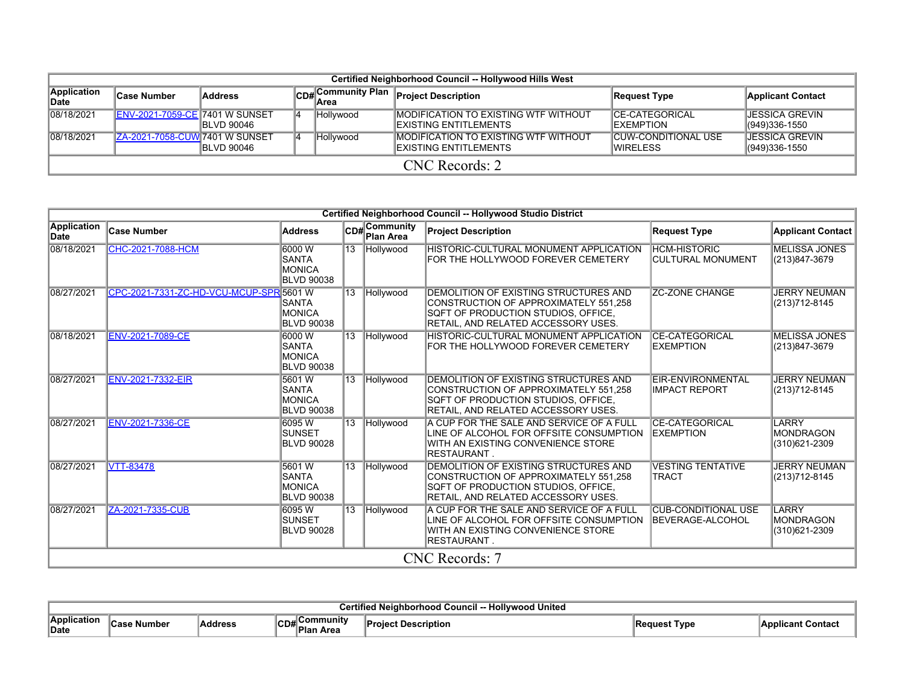|                      | Certified Neighborhood Council -- Hollywood Hills West |                    |  |                   |                                                                               |                                                |                                        |  |  |  |  |  |  |
|----------------------|--------------------------------------------------------|--------------------|--|-------------------|-------------------------------------------------------------------------------|------------------------------------------------|----------------------------------------|--|--|--|--|--|--|
| Application<br>∣Date | ∣Case Number                                           | Address            |  | CD#Community Plan | <b>Project Description</b>                                                    | Request Type                                   | <b>Applicant Contact</b>               |  |  |  |  |  |  |
| 08/18/2021           | <b>ENV-2021-7059-CE 7401 W SUNSET</b>                  | <b>IBLVD 90046</b> |  | Hollywood         | <b>IMODIFICATION TO EXISTING WTF WITHOUT</b><br><b>IEXISTING ENTITLEMENTS</b> | ICE-CATEGORICAL<br><b>IEXEMPTION</b>           | IJESSICA GREVIN<br>(949)336-1550       |  |  |  |  |  |  |
| 08/18/2021           | <b>IZA-2021-7058-CUWI7401 W SUNSET</b>                 | <b>IBLVD 90046</b> |  | Hollywood         | <b>IMODIFICATION TO EXISTING WTF WITHOUT</b><br>EXISTING ENTITLEMENTS         | <b>CUW-CONDITIONAL USE</b><br><b>IWIRELESS</b> | <b>JESSICA GREVIN</b><br>(949)336-1550 |  |  |  |  |  |  |
|                      | CNC Records: 2                                         |                    |  |                   |                                                                               |                                                |                                        |  |  |  |  |  |  |

|                     |                                         |                                                              |                 |                                  | Certified Neighborhood Council -- Hollywood Studio District                                                                                                         |                                                        |                                                   |
|---------------------|-----------------------------------------|--------------------------------------------------------------|-----------------|----------------------------------|---------------------------------------------------------------------------------------------------------------------------------------------------------------------|--------------------------------------------------------|---------------------------------------------------|
| Application<br>Date | <b>Case Number</b>                      | <b>Address</b>                                               |                 | CD#Community<br><b>Plan Area</b> | <b>Project Description</b>                                                                                                                                          | <b>Request Type</b>                                    | <b>Applicant Contact</b>                          |
| 08/18/2021          | CHC-2021-7088-HCM                       | 6000 W<br><b>SANTA</b><br><b>MONICA</b><br><b>BLVD 90038</b> |                 | 13 Hollywood                     | <b>HISTORIC-CULTURAL MONUMENT APPLICATION</b><br>FOR THE HOLLYWOOD FOREVER CEMETERY                                                                                 | <b>HCM-HISTORIC</b><br><b>CULTURAL MONUMENT</b>        | <b>MELISSA JONES</b><br>(213)847-3679             |
| 08/27/2021          | CPC-2021-7331-ZC-HD-VCU-MCUP-SPR 5601 W | <b>SANTA</b><br><b>MONICA</b><br><b>BLVD 90038</b>           | $\overline{13}$ | Hollywood                        | DEMOLITION OF EXISTING STRUCTURES AND<br>CONSTRUCTION OF APPROXIMATELY 551,258<br>SQFT OF PRODUCTION STUDIOS, OFFICE,<br>RETAIL, AND RELATED ACCESSORY USES.        | <b>ZC-ZONE CHANGE</b>                                  | <b>JERRY NEUMAN</b><br>(213)712-8145              |
| 08/18/2021          | <b>ENV-2021-7089-CE</b>                 | 6000 W<br><b>SANTA</b><br><b>MONICA</b><br><b>BLVD 90038</b> | $\overline{13}$ | <b>Hollywood</b>                 | HISTORIC-CULTURAL MONUMENT APPLICATION<br>FOR THE HOLLYWOOD FOREVER CEMETERY                                                                                        | <b>CE-CATEGORICAL</b><br><b>EXEMPTION</b>              | <b>MELISSA JONES</b><br>(213)847-3679             |
| 08/27/2021          | <b>ENV-2021-7332-EIR</b>                | 5601 W<br>SANTA<br>MONICA<br><b>BLVD 90038</b>               | $\overline{13}$ | Hollywood                        | <b>DEMOLITION OF EXISTING STRUCTURES AND</b><br>CONSTRUCTION OF APPROXIMATELY 551.258<br>SQFT OF PRODUCTION STUDIOS, OFFICE,<br>RETAIL, AND RELATED ACCESSORY USES. | EIR-ENVIRONMENTAL<br><b>IIMPACT REPORT</b>             | <b>JERRY NEUMAN</b><br>(213) 712-8145             |
| 08/27/2021          | ENV-2021-7336-CE                        | 6095W<br><b>SUNSET</b><br><b>BLVD 90028</b>                  | $\overline{13}$ | Hollywood                        | A CUP FOR THE SALE AND SERVICE OF A FULL<br>LINE OF ALCOHOL FOR OFFSITE CONSUMPTION<br>WITH AN EXISTING CONVENIENCE STORE<br><b>RESTAURANT.</b>                     | <b>CE-CATEGORICAL</b><br><b>IEXEMPTION</b>             | LARRY<br><b>MONDRAGON</b><br>(310)621-2309        |
| 08/27/2021          | <b>VTT-83478</b>                        | 5601 W<br><b>SANTA</b><br><b>MONICA</b><br><b>BLVD 90038</b> | 13              | Hollywood                        | DEMOLITION OF EXISTING STRUCTURES AND<br>CONSTRUCTION OF APPROXIMATELY 551.258<br>SQFT OF PRODUCTION STUDIOS, OFFICE,<br>RETAIL, AND RELATED ACCESSORY USES.        | <b>VESTING TENTATIVE</b><br><b>TRACT</b>               | <b>JERRY NEUMAN</b><br>(213) 712-8145             |
| 08/27/2021          | ZA-2021-7335-CUB                        | 6095W<br><b>SUNSET</b><br><b>BLVD 90028</b>                  | $\overline{13}$ | Hollywood                        | A CUP FOR THE SALE AND SERVICE OF A FULL<br>LINE OF ALCOHOL FOR OFFSITE CONSUMPTION<br>WITH AN EXISTING CONVENIENCE STORE<br><b>RESTAURANT.</b>                     | <b>CUB-CONDITIONAL USE</b><br><b>IBEVERAGE-ALCOHOL</b> | <b>LARRY</b><br><b>MONDRAGON</b><br>(310)621-2309 |
|                     |                                         |                                                              |                 |                                  | CNC Records: 7                                                                                                                                                      |                                                        |                                                   |

|                      | ' United<br><br>பஃ<br><b>ILDUA</b> |         |                        |         |                          |  |  |  |  |  |  |  |
|----------------------|------------------------------------|---------|------------------------|---------|--------------------------|--|--|--|--|--|--|--|
| ∄Annlicatior<br>Date | ımber<br>$-0.0$                    | Addresr | ommunitv<br>^-<br>area | ription | Type<br>,,,,,,,,,<br>cэl |  |  |  |  |  |  |  |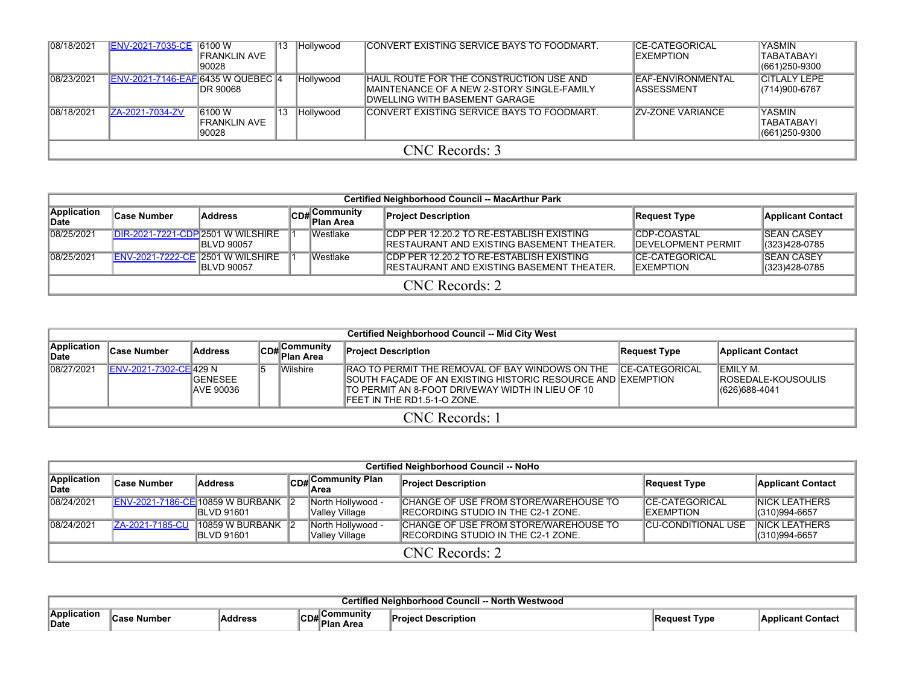| 08/18/2021 | ENV-2021-7035-CE 6100 W                  | IFRANKLIN AVE<br>90028          | '13 | Hollywood | CONVERT EXISTING SERVICE BAYS TO FOODMART.                                                                                             | <b>ICE-CATEGORICAL</b><br><b>IEXEMPTION</b> | <b>YASMIN</b><br>TABATABAYI<br>(661) 250-9300 |  |  |  |  |  |
|------------|------------------------------------------|---------------------------------|-----|-----------|----------------------------------------------------------------------------------------------------------------------------------------|---------------------------------------------|-----------------------------------------------|--|--|--|--|--|
| 08/23/2021 | <b>ENV-2021-7146-EAF 6435 W QUEBEC 4</b> | DR 90068                        |     | Hollywood | <b>IHAUL ROUTE FOR THE CONSTRUCTION USE AND</b><br><b>IMAINTENANCE OF A NEW 2-STORY SINGLE-FAMILY</b><br>DWELLING WITH BASEMENT GARAGE | <b>IEAF-ENVIRONMENTAL</b><br>IASSESSMENT    | <b>CITLALY LEPE</b><br>$ (714)900-6767$       |  |  |  |  |  |
| 08/18/2021 | ZA-2021-7034-ZV                          | 6100 W<br>FRANKLIN AVE<br>90028 |     | Hollywood | <b>CONVERT EXISTING SERVICE BAYS TO FOODMART.</b>                                                                                      | <b>IZV-ZONE VARIANCE</b>                    | YASMIN<br>TABATABAYI<br>(661) 250-9300        |  |  |  |  |  |
|            | CNC Records: 3                           |                                 |     |           |                                                                                                                                        |                                             |                                               |  |  |  |  |  |

| <b>Certified Neighborhood Council -- MacArthur Park</b> |                                         |                    |  |                           |                                                                                                      |                                                  |                                        |  |  |  |  |  |
|---------------------------------------------------------|-----------------------------------------|--------------------|--|---------------------------|------------------------------------------------------------------------------------------------------|--------------------------------------------------|----------------------------------------|--|--|--|--|--|
| Application<br>∣Date                                    | <b>Case Number</b>                      | Address            |  | CD#Community<br>Plan Area | <b>Project Description</b>                                                                           | Request Type                                     | <b>Applicant Contact</b>               |  |  |  |  |  |
| 08/25/2021                                              | DIR-2021-7221-CDP 2501 W WILSHIRE       | <b>IBLVD 90057</b> |  | Westlake                  | <b>CDP PER 12.20.2 TO RE-ESTABLISH EXISTING</b><br><b>IRESTAURANT AND EXISTING BASEMENT THEATER.</b> | <b>CDP-COASTAL</b><br><b>IDEVELOPMENT PERMIT</b> | <b>ISEAN CASEY</b><br>(323)428-0785    |  |  |  |  |  |
| 08/25/2021                                              | <b>ENV-2021-7222-CE 2501 W WILSHIRE</b> | <b>IBLVD 90057</b> |  | Westlake                  | <b>CDP PER 12.20.2 TO RE-ESTABLISH EXISTING</b><br>IRESTAURANT AND EXISTING BASEMENT THEATER.        | <b>ICE-CATEGORICAL</b><br><b>IEXEMPTION</b>      | <b>ISEAN CASEY</b><br>$ (323)428-0785$ |  |  |  |  |  |
|                                                         | CNC Records: 2                          |                    |  |                           |                                                                                                      |                                                  |                                        |  |  |  |  |  |

|                      | <b>Certified Neighborhood Council -- Mid City West</b> |                                      |  |                                                  |                                                                                                                                                                                                             |                 |                                                             |  |  |  |  |  |  |
|----------------------|--------------------------------------------------------|--------------------------------------|--|--------------------------------------------------|-------------------------------------------------------------------------------------------------------------------------------------------------------------------------------------------------------------|-----------------|-------------------------------------------------------------|--|--|--|--|--|--|
| Application<br>∣Date | Case Number                                            | Address                              |  | .Communitv<br>lCD#∣ <sup>COm.</sup><br>Plan Area | <b>Project Description</b>                                                                                                                                                                                  | Request Type    | <b>Applicant Contact</b>                                    |  |  |  |  |  |  |
| 08/27/2021           | IENV-2021-7302-CEI429 N                                | <b>IGENESEE</b><br><b>JAVE 90036</b> |  | Wilshire                                         | <b>IRAO TO PERMIT THE REMOVAL OF BAY WINDOWS ON THE</b><br>SOUTH FACADE OF AN EXISTING HISTORIC RESOURCE AND EXEMPTION<br>ITO PERMIT AN 8-FOOT DRIVEWAY WIDTH IN LIEU OF 10<br>IFEET IN THE RD1.5-1-O ZONE. | ICE-CATEGORICAL | IEMILY M.<br><b>IROSEDALE-KOUSOULIS</b><br>$ (626)688-4041$ |  |  |  |  |  |  |
|                      | CNC Records: 1                                         |                                      |  |                                                  |                                                                                                                                                                                                             |                 |                                                             |  |  |  |  |  |  |

|                      | <b>Certified Neighborhood Council -- NoHo</b> |                                                                 |  |                                     |                                                                                     |                                             |                                        |  |  |  |  |  |
|----------------------|-----------------------------------------------|-----------------------------------------------------------------|--|-------------------------------------|-------------------------------------------------------------------------------------|---------------------------------------------|----------------------------------------|--|--|--|--|--|
| Application<br>lDate | <b>Case Number</b>                            | <b>Address</b>                                                  |  | CD# Community Plan                  | <b>Project Description</b>                                                          | Request Type                                | <b>Applicant Contact</b>               |  |  |  |  |  |
| 08/24/2021           |                                               | <b>ENV-2021-7186-CE 10859 W BURBANK 2</b><br><b>IBLVD 91601</b> |  | North Hollywood -<br>Valley Village | CHANGE OF USE FROM STORE/WAREHOUSE TO<br><b>IRECORDING STUDIO IN THE C2-1 ZONE.</b> | <b>ICE-CATEGORICAL</b><br><b>IEXEMPTION</b> | <b>INICK LEATHERS</b><br>(310)994-6657 |  |  |  |  |  |
| 08/24/2021           | ZA-2021-7185-CU                               | $10859$ W BURBANK 2<br><b>IBLVD 91601</b>                       |  | North Hollywood -<br>Valley Village | CHANGE OF USE FROM STORE/WAREHOUSE TO<br><b>IRECORDING STUDIO IN THE C2-1 ZONE.</b> | <b>CU-CONDITIONAL USE</b>                   | <b>INICK LEATHERS</b><br>(310)994-6657 |  |  |  |  |  |
|                      | CNC Records: 2                                |                                                                 |  |                                     |                                                                                     |                                             |                                        |  |  |  |  |  |

|                     | North<br>Westwood<br><b>Council</b> |        |                                             |          |             |       |  |  |  |  |  |
|---------------------|-------------------------------------|--------|---------------------------------------------|----------|-------------|-------|--|--|--|--|--|
| Application<br>Date | ımbeı                               | ddress | ∖Communitv<br>◡◡<br>'lDla<br>⊦ Area<br>∽lä. | scribuon | ` Type<br>. | .cant |  |  |  |  |  |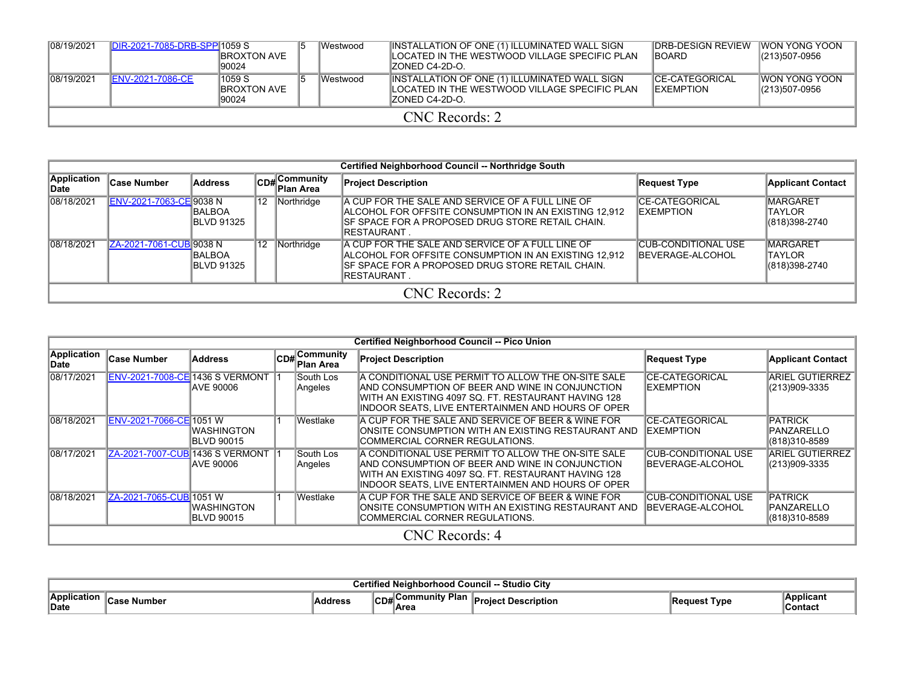| 08/19/2021 | DIR-2021-7085-DRB-SPP 1059 S | <b>IBROXTON AVE</b><br>190024           |  | lWestwood | INSTALLATION OF ONE (1) ILLUMINATED WALL SIGN<br>LOCATED IN THE WESTWOOD VILLAGE SPECIFIC PLAN<br>IZONED C4-2D-O. | <b>IDRB-DESIGN REVIEW</b><br><b>IBOARD</b>  | <b>IWON YONG YOON</b><br>(213)507-0956 |  |  |  |
|------------|------------------------------|-----------------------------------------|--|-----------|-------------------------------------------------------------------------------------------------------------------|---------------------------------------------|----------------------------------------|--|--|--|
| 08/19/2021 | <b>ENV-2021-7086-CE</b>      | 1059 S<br><b>IBROXTON AVE</b><br>190024 |  | Westwood  | INSTALLATION OF ONE (1) ILLUMINATED WALL SIGN<br>LOCATED IN THE WESTWOOD VILLAGE SPECIFIC PLAN<br>IZONED C4-2D-O. | <b>ICE-CATEGORICAL</b><br><b>IEXEMPTION</b> | IWON YONG YOON<br>(213)507-0956        |  |  |  |
|            | CNC Records: 2               |                                         |  |           |                                                                                                                   |                                             |                                        |  |  |  |

|                      |                                |                                     |                 |                           | Certified Neighborhood Council -- Northridge South                                                                                                                                           |                                                |                                                   |
|----------------------|--------------------------------|-------------------------------------|-----------------|---------------------------|----------------------------------------------------------------------------------------------------------------------------------------------------------------------------------------------|------------------------------------------------|---------------------------------------------------|
| Application<br>lDate | <b>Case Number</b>             | Address                             |                 | CD#Community<br>Plan Area | <b>Project Description</b>                                                                                                                                                                   | Request Type                                   | <b>Applicant Contact</b>                          |
| 08/18/2021           | ENV-2021-7063-CE 9038 N        | <b>BALBOA</b><br><b>IBLVD 91325</b> | 12 <sup>2</sup> | Northridge                | A CUP FOR THE SALE AND SERVICE OF A FULL LINE OF<br><b>IALCOHOL FOR OFFSITE CONSUMPTION IN AN EXISTING 12.912</b><br>ISF SPACE FOR A PROPOSED DRUG STORE RETAIL CHAIN.<br><b>IRESTAURANT</b> | <b>CE-CATEGORICAL</b><br><b>EXEMPTION</b>      | <b>MARGARET</b><br>TAYLOR<br>(818)398-2740        |
| 08/18/2021           | <b>ZA-2021-7061-CUB 9038 N</b> | <b>BALBOA</b><br><b>IBLVD 91325</b> | 12              | Northridge                | A CUP FOR THE SALE AND SERVICE OF A FULL LINE OF<br>ALCOHOL FOR OFFSITE CONSUMPTION IN AN EXISTING 12,912<br>ISF SPACE FOR A PROPOSED DRUG STORE RETAIL CHAIN.<br><b>IRESTAURANT</b>         | <b>CUB-CONDITIONAL USE</b><br>BEVERAGE-ALCOHOL | <b>MARGARET</b><br><b>TAYLOR</b><br>(818)398-2740 |
|                      |                                |                                     |                 |                           | CNC Records: 2                                                                                                                                                                               |                                                |                                                   |

|                            |                         |                                                     |                              | <b>Certified Neighborhood Council -- Pico Union</b>                                                                                                                                                                         |                                                |                                                       |
|----------------------------|-------------------------|-----------------------------------------------------|------------------------------|-----------------------------------------------------------------------------------------------------------------------------------------------------------------------------------------------------------------------------|------------------------------------------------|-------------------------------------------------------|
| <b>Application</b><br>Date | <b>Case Number</b>      | <b>Address</b>                                      | $CD#$ Community<br>Plan Area | <b>Project Description</b>                                                                                                                                                                                                  | <b>Request Type</b>                            | <b>Applicant Contact</b>                              |
| 08/17/2021                 |                         | ENV-2021-7008-CE 1436 S VERMONT<br><b>AVE 90006</b> | South Los<br>Angeles         | A CONDITIONAL USE PERMIT TO ALLOW THE ON-SITE SALE<br>IAND CONSUMPTION OF BEER AND WINE IN CONJUNCTION.<br>IWITH AN EXISTING 4097 SQ. FT. RESTAURANT HAVING 128<br>INDOOR SEATS, LIVE ENTERTAINMEN AND HOURS OF OPER        | <b>CE-CATEGORICAL</b><br><b>IEXEMPTION</b>     | <b>ARIEL GUTIERREZ</b><br>(213)909-3335               |
| 08/18/2021                 | ENV-2021-7066-CE 1051 W | <b>WASHINGTON</b><br><b>IBLVD 90015</b>             | Westlake                     | A CUP FOR THE SALE AND SERVICE OF BEER & WINE FOR<br><b>IONSITE CONSUMPTION WITH AN EXISTING RESTAURANT AND</b><br>ICOMMERCIAL CORNER REGULATIONS.                                                                          | <b>CE-CATEGORICAL</b><br>EXEMPTION             | <b>PATRICK</b><br><b>PANZARELLO</b><br>(818)310-8589  |
| 08/17/2021                 |                         | ZA-2021-7007-CUB 1436 S VERMONT 1<br>IAVE 90006     | South Los<br>Angeles         | IA CONDITIONAL USE PERMIT TO ALLOW THE ON-SITE SALE<br><b>IAND CONSUMPTION OF BEER AND WINE IN CONJUNCTION</b><br>IWITH AN EXISTING 4097 SQ. FT. RESTAURANT HAVING 128<br>INDOOR SEATS, LIVE ENTERTAINMEN AND HOURS OF OPER | <b>CUB-CONDITIONAL USE</b><br>BEVERAGE-ALCOHOL | <b>ARIEL GUTIERREZ</b><br>(213)909-3335               |
| 08/18/2021                 | ZA-2021-7065-CUB 1051 W | <b>WASHINGTON</b><br><b>BLVD 90015</b>              | Westlake                     | A CUP FOR THE SALE AND SERVICE OF BEER & WINE FOR<br>IONSITE CONSUMPTION WITH AN EXISTING RESTAURANT AND<br>ICOMMERCIAL CORNER REGULATIONS.                                                                                 | <b>CUB-CONDITIONAL USE</b><br>BEVERAGE-ALCOHOL | <b>PATRICK</b><br><b>IPANZARELLO</b><br>(818)310-8589 |
|                            |                         |                                                     |                              | CNC Records: 4                                                                                                                                                                                                              |                                                |                                                       |

| City<br>Studio<br>.<br>™noo.     |                             |                |          |                      |          |      |                       |  |  |
|----------------------------------|-----------------------------|----------------|----------|----------------------|----------|------|-----------------------|--|--|
| . .<br>Applica<br>. חחיי<br>Date | Num.<br>-<br>NUIINGI<br>vaə | <b>Address</b> | ^™<br>൛൰ | <b>Dias</b><br>≞Are⊾ | ™ridtio. | ™vp. | Applicant<br>∜Contac. |  |  |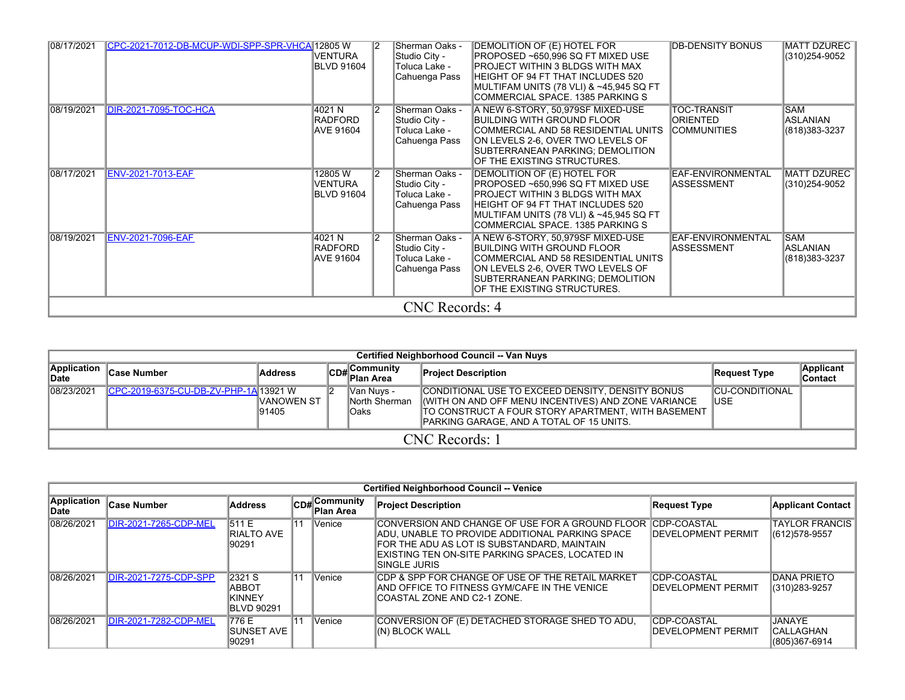| 08/17/2021 | CPC-2021-7012-DB-MCUP-WDI-SPP-SPR-VHCA 12805 W | VENTURA<br><b>BLVD 91604</b>                   | Sherman Oaks -<br>Studio City -<br>Toluca Lake -<br>Cahuenga Pass | DEMOLITION OF (E) HOTEL FOR<br>PROPOSED ~650,996 SQ FT MIXED USE<br>PROJECT WITHIN 3 BLDGS WITH MAX<br>HEIGHT OF 94 FT THAT INCLUDES 520<br> MULTIFAM UNITS (78 VLI) & ~45.945 SQ FT<br>COMMERCIAL SPACE. 1385 PARKING S         | <b>DB-DENSITY BONUS</b>                                     | MATT DZUREC  <br>(310) 254-9052                 |
|------------|------------------------------------------------|------------------------------------------------|-------------------------------------------------------------------|----------------------------------------------------------------------------------------------------------------------------------------------------------------------------------------------------------------------------------|-------------------------------------------------------------|-------------------------------------------------|
| 08/19/2021 | <b>DIR-2021-7095-TOC-HCA</b>                   | 4021 N<br><b>RADFORD</b><br>AVE 91604          | Sherman Oaks -<br>Studio City -<br>Toluca Lake -<br>Cahuenga Pass | A NEW 6-STORY, 50,979SF MIXED-USE<br>BUILDING WITH GROUND FLOOR<br>COMMERCIAL AND 58 RESIDENTIAL UNITS<br>ON LEVELS 2-6, OVER TWO LEVELS OF<br>SUBTERRANEAN PARKING; DEMOLITION<br>OF THE EXISTING STRUCTURES.                   | <b>TOC-TRANSIT</b><br><b>ORIENTED</b><br><b>COMMUNITIES</b> | <b>SAM</b><br><b>ASLANIAN</b><br>(818) 383-3237 |
| 08/17/2021 | <b>ENV-2021-7013-EAF</b>                       | 12805 W<br><b>VENTURA</b><br><b>BLVD 91604</b> | Sherman Oaks -<br>Studio City -<br>Toluca Lake -<br>Cahuenga Pass | DEMOLITION OF (E) HOTEL FOR<br>PROPOSED ~650,996 SQ FT MIXED USE<br><b>IPROJECT WITHIN 3 BLDGS WITH MAX</b><br>HEIGHT OF 94 FT THAT INCLUDES 520<br> MULTIFAM UNITS (78 VLI) & ~45,945 SQ FT<br>COMMERCIAL SPACE. 1385 PARKING S | EAF-ENVIRONMENTAL<br><b>ASSESSMENT</b>                      | <b>MATT DZUREC</b><br>(310)254-9052             |
| 08/19/2021 | <b>ENV-2021-7096-EAF</b>                       | 4021 N<br><b>RADFORD</b><br><b>AVE 91604</b>   | Sherman Oaks -<br>Studio City -<br>Toluca Lake -<br>Cahuenga Pass | A NEW 6-STORY, 50,979SF MIXED-USE<br>BUILDING WITH GROUND FLOOR<br>COMMERCIAL AND 58 RESIDENTIAL UNITS<br>ON LEVELS 2-6, OVER TWO LEVELS OF<br>SUBTERRANEAN PARKING: DEMOLITION<br>OF THE EXISTING STRUCTURES.                   | EAF-ENVIRONMENTAL<br>ASSESSMENT                             | <b>SAM</b><br><b>ASLANIAN</b><br>(818) 383-3237 |
|            |                                                |                                                | CNC Records: 4                                                    |                                                                                                                                                                                                                                  |                                                             |                                                 |

|                      | Certified Neighborhood Council -- Van Nuys |                      |  |                                                 |                                                                                                                                                                                                           |                               |                             |  |  |  |  |  |  |  |
|----------------------|--------------------------------------------|----------------------|--|-------------------------------------------------|-----------------------------------------------------------------------------------------------------------------------------------------------------------------------------------------------------------|-------------------------------|-----------------------------|--|--|--|--|--|--|--|
| Application<br>∣Date | <b>Case Number</b>                         | <b>Address</b>       |  | Communitv<br>lCD#∣ <sup>COm.</sup><br>Plan Area | <b>Project Description</b>                                                                                                                                                                                | Request Type                  | Applicant<br><b>Contact</b> |  |  |  |  |  |  |  |
| 08/23/2021           | CPC-2019-6375-CU-DB-ZV-PHP-1A 13921 W      | IVANOWEN ST<br>91405 |  | IVan Nuvs -<br>North Sherman<br>lOaks           | CONDITIONAL USE TO EXCEED DENSITY. DENSITY BONUS<br>(WITH ON AND OFF MENU INCENTIVES) AND ZONE VARIANCE<br>TO CONSTRUCT A FOUR STORY APARTMENT, WITH BASEMENT<br>PARKING GARAGE. AND A TOTAL OF 15 UNITS. | <b>CU-CONDITIONAL</b><br>IUSE |                             |  |  |  |  |  |  |  |
|                      |                                            |                      |  |                                                 | CNC Records: 1                                                                                                                                                                                            |                               |                             |  |  |  |  |  |  |  |

|                             | <b>Certified Neighborhood Council -- Venice</b> |                                                   |    |                                   |                                                                                                                                                                                                                                      |                                           |                                               |  |  |  |  |  |
|-----------------------------|-------------------------------------------------|---------------------------------------------------|----|-----------------------------------|--------------------------------------------------------------------------------------------------------------------------------------------------------------------------------------------------------------------------------------|-------------------------------------------|-----------------------------------------------|--|--|--|--|--|
| <b>Application</b><br>∣Date | <b>Case Number</b>                              | Address                                           |    | , Community<br>CD#Ou<br>Plan Area | <b>Project Description</b>                                                                                                                                                                                                           | Request Type                              | <b>Applicant Contact</b>                      |  |  |  |  |  |
| 08/26/2021                  | <b>DIR-2021-7265-CDP-MEL</b>                    | 511 E<br><b>IRIALTO AVE</b><br>190291             | 11 | Venice                            | CONVERSION AND CHANGE OF USE FOR A GROUND FLOOR COPP-COASTAL<br>IADU. UNABLE TO PROVIDE ADDITIONAL PARKING SPACE<br>FOR THE ADU AS LOT IS SUBSTANDARD, MAINTAIN<br>IEXISTING TEN ON-SITE PARKING SPACES. LOCATED IN<br>ISINGLE JURIS | <b>IDEVELOPMENT PERMIT</b>                | <b>TAYLOR FRANCIS</b><br>$ (612)578-9557$     |  |  |  |  |  |
| 08/26/2021                  | DIR-2021-7275-CDP-SPP                           | 2321 S<br>IABBOT<br>IKINNEY<br><b>IBLVD 90291</b> | 11 | Venice                            | ICDP & SPP FOR CHANGE OF USE OF THE RETAIL MARKET<br>AND OFFICE TO FITNESS GYM/CAFE IN THE VENICE<br>ICOASTAL ZONE AND C2-1 ZONE.                                                                                                    | CDP-COASTAL<br><b>IDEVELOPMENT PERMIT</b> | <b>DANA PRIETO</b><br>$ (310)283-9257$        |  |  |  |  |  |
| 08/26/2021                  | DIR-2021-7282-CDP-MEL                           | 1776 E<br>ISUNSET AVE<br>90291                    | 11 | Venice                            | CONVERSION OF (E) DETACHED STORAGE SHED TO ADU,<br>I(N) BLOCK WALL                                                                                                                                                                   | CDP-COASTAL<br><b>IDEVELOPMENT PERMIT</b> | IJANAYE.<br><b>CALLAGHAN</b><br>(805)367-6914 |  |  |  |  |  |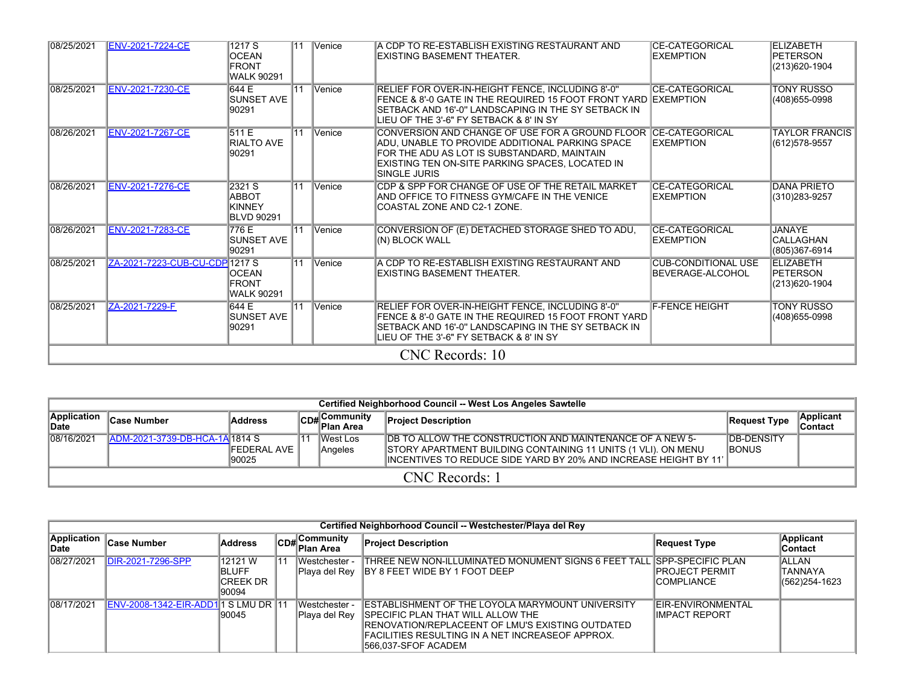| 08/25/2021 | <b>ENV-2021-7224-CE</b>        | 1217S<br><b>OCEAN</b><br><b>FRONT</b><br><b>WALK 90291</b> | 11              | Venice | A CDP TO RE-ESTABLISH EXISTING RESTAURANT AND<br>EXISTING BASEMENT THEATER.                                                                                                                                                          | <b>CE-CATEGORICAL</b><br><b>EXEMPTION</b>      | <b>ELIZABETH</b><br><b>PETERSON</b><br>(213)620-1904  |
|------------|--------------------------------|------------------------------------------------------------|-----------------|--------|--------------------------------------------------------------------------------------------------------------------------------------------------------------------------------------------------------------------------------------|------------------------------------------------|-------------------------------------------------------|
| 08/25/2021 | <b>ENV-2021-7230-CE</b>        | 644 E<br><b>SUNSET AVE</b><br>90291                        | $\overline{11}$ | Venice | RELIEF FOR OVER-IN-HEIGHT FENCE, INCLUDING 8'-0"<br>FENCE & 8'-0 GATE IN THE REQUIRED 15 FOOT FRONT YARD LEXEMPTION<br>SETBACK AND 16'-0" LANDSCAPING IN THE SY SETBACK IN<br>LIEU OF THE 3'-6" FY SETBACK & 8' IN SY                | <b>CE-CATEGORICAL</b>                          | <b>TONY RUSSO</b><br>(408) 655-0998                   |
| 08/26/2021 | <b>ENV-2021-7267-CE</b>        | 511 E<br><b>RIALTO AVE</b><br>90291                        | $\overline{11}$ | Venice | CONVERSION AND CHANGE OF USE FOR A GROUND FLOOR ICE-CATEGORICAL<br>ADU. UNABLE TO PROVIDE ADDITIONAL PARKING SPACE<br>FOR THE ADU AS LOT IS SUBSTANDARD. MAINTAIN<br>EXISTING TEN ON-SITE PARKING SPACES, LOCATED IN<br>SINGLE JURIS | <b>EXEMPTION</b>                               | <b>TAYLOR FRANCIS</b><br>(612)578-9557                |
| 08/26/2021 | <b>ENV-2021-7276-CE</b>        | 2321 S<br>ABBOT<br><b>KINNEY</b><br><b>BLVD 90291</b>      | $\overline{11}$ | Venice | CDP & SPP FOR CHANGE OF USE OF THE RETAIL MARKET<br>AND OFFICE TO FITNESS GYM/CAFE IN THE VENICE<br>ICOASTAL ZONE AND C2-1 ZONE.                                                                                                     | <b>CE-CATEGORICAL</b><br><b>EXEMPTION</b>      | <b>DANA PRIETO</b><br>(310)283-9257                   |
| 08/26/2021 | <b>ENV-2021-7283-CE</b>        | 776 E<br><b>SUNSET AVE</b><br>90291                        | $\overline{11}$ | Venice | CONVERSION OF (E) DETACHED STORAGE SHED TO ADU,<br>(N) BLOCK WALL                                                                                                                                                                    | <b>CE-CATEGORICAL</b><br>EXEMPTION             | <b>JANAYE</b><br><b>CALLAGHAN</b><br>(805)367-6914    |
| 08/25/2021 | ZA-2021-7223-CUB-CU-CDP 1217 S | <b>OCEAN</b><br><b>FRONT</b><br><b>WALK 90291</b>          | $\overline{11}$ | Venice | A CDP TO RE-ESTABLISH EXISTING RESTAURANT AND<br><b>EXISTING BASEMENT THEATER.</b>                                                                                                                                                   | <b>CUB-CONDITIONAL USE</b><br>BEVERAGE-ALCOHOL | <b>ELIZABETH</b><br><b>IPETERSON</b><br>(213)620-1904 |
| 08/25/2021 | ZA-2021-7229-F                 | 644 E<br><b>SUNSET AVE</b><br>90291                        | $\overline{11}$ | Venice | RELIEF FOR OVER-IN-HEIGHT FENCE, INCLUDING 8'-0"<br>FENCE & 8'-0 GATE IN THE REQUIRED 15 FOOT FRONT YARD<br>SETBACK AND 16'-0" LANDSCAPING IN THE SY SETBACK IN<br>LIEU OF THE 3'-6" FY SETBACK & 8' IN SY                           | <b>F-FENCE HEIGHT</b>                          | <b>TONY RUSSO</b><br>(408)655-0998                    |
|            |                                |                                                            |                 |        | CNC Records: 10                                                                                                                                                                                                                      |                                                |                                                       |

|                      | Certified Neighborhood Council -- West Los Angeles Sawtelle |                               |  |                            |                                                                                                                                                                                                          |                                     |                       |  |  |  |  |  |
|----------------------|-------------------------------------------------------------|-------------------------------|--|----------------------------|----------------------------------------------------------------------------------------------------------------------------------------------------------------------------------------------------------|-------------------------------------|-----------------------|--|--|--|--|--|
| Application<br>∣Date | ∣Case Number                                                | <b>Address</b>                |  | CD# Community<br>Plan Area | <b>Project Description</b>                                                                                                                                                                               | Request Type                        | Applicant<br>∣Contact |  |  |  |  |  |
| 08/16/2021           | ADM-2021-3739-DB-HCA-1A 1814 S                              | <b>IFEDERAL AVE</b><br>190025 |  | lWest Los<br>Angeles       | <b>IDB TO ALLOW THE CONSTRUCTION AND MAINTENANCE OF A NEW 5-</b><br>STORY APARTMENT BUILDING CONTAINING 11 UNITS (1 VLI). ON MENU<br>IINCENTIVES TO REDUCE SIDE YARD BY 20% AND INCREASE HEIGHT BY 11' I | <b>IDB-DENSITY</b><br><b>IBONUS</b> |                       |  |  |  |  |  |
|                      | CNC Records: 1                                              |                               |  |                            |                                                                                                                                                                                                          |                                     |                       |  |  |  |  |  |

|                                |                                      |                                                |     |                                | Certified Neighborhood Council -- Westchester/Playa del Rey                                                                                                                                                                       |                                              |                                     |
|--------------------------------|--------------------------------------|------------------------------------------------|-----|--------------------------------|-----------------------------------------------------------------------------------------------------------------------------------------------------------------------------------------------------------------------------------|----------------------------------------------|-------------------------------------|
| <b>Application</b> 1.<br>∣Date | <b>Case Number</b>                   | <b>Address</b>                                 |     | CD#Community<br>Plan Area      | <b>Project Description</b>                                                                                                                                                                                                        | Request Type                                 | Applicant<br><b>Contact</b>         |
| 08/27/2021                     | DIR-2021-7296-SPP                    | 12121 W<br><b>BLUFF</b><br>ICREEK DR<br>190094 | ۱1۰ | Westchester -<br>Playa del Rey | THREE NEW NON-ILLUMINATED MONUMENT SIGNS 6 FEET TALL ISPP-SPECIFIC PLAN<br><b>IBY 8 FEET WIDE BY 1 FOOT DEEP</b>                                                                                                                  | <b>IPROJECT PERMIT</b><br><b>ICOMPLIANCE</b> | IALLAN<br>TANNAYA<br>(562) 254-1623 |
| 08/17/2021                     | ENV-2008-1342-EIR-ADD1 1 S LMU DR 11 | 190045                                         |     | Westchester ·<br>Playa del Rey | IESTABLISHMENT OF THE LOYOLA MARYMOUNT UNIVERSITY<br><b>ISPECIFIC PLAN THAT WILL ALLOW THE</b><br>IRENOVATION/REPLACEENT OF LMU'S EXISTING OUTDATED.<br>IFACILITIES RESULTING IN A NET INCREASEOF APPROX.<br>1566.037-SFOF ACADEM | <b>IEIR-ENVIRONMENTAL</b><br>IIMPACT REPORT  |                                     |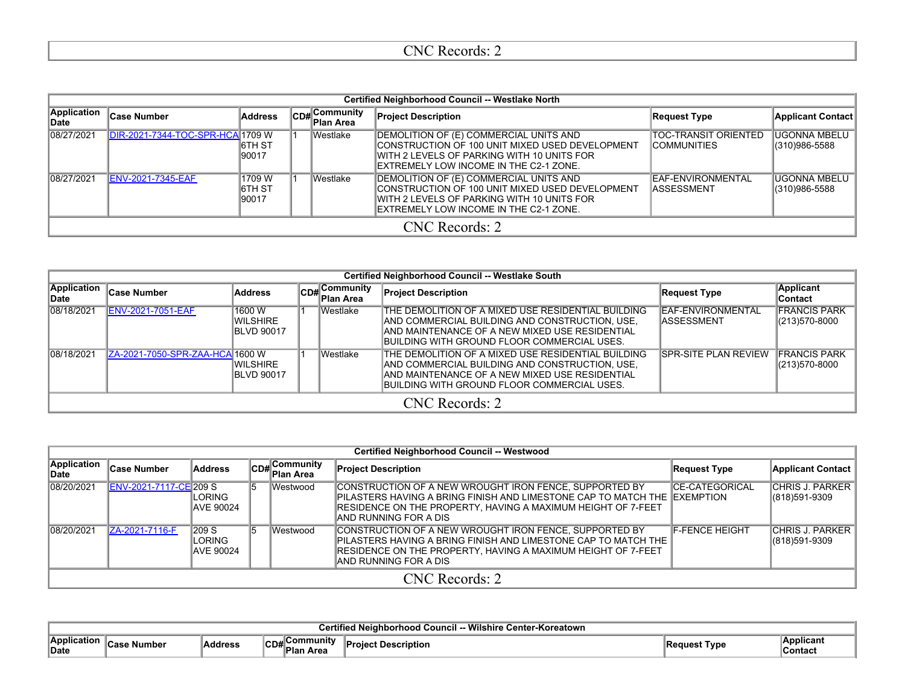## CNC Records: 2

|                      | Certified Neighborhood Council -- Westlake North |                                   |  |                                          |                                                                                                                                                                                     |                                              |                                |  |  |
|----------------------|--------------------------------------------------|-----------------------------------|--|------------------------------------------|-------------------------------------------------------------------------------------------------------------------------------------------------------------------------------------|----------------------------------------------|--------------------------------|--|--|
| Application<br>lDate | ∣Case Number                                     | Address                           |  | <b>CD#</b> Community<br><b>Plan Area</b> | <b>Project Description</b>                                                                                                                                                          | <b>Request Type</b>                          | Applicant Contact              |  |  |
| 08/27/2021           | DIR-2021-7344-TOC-SPR-HCA 1709 W                 | <b>I6TH ST</b><br>90017           |  | lWestlake                                | DEMOLITION OF (E) COMMERCIAL UNITS AND<br>CONSTRUCTION OF 100 UNIT MIXED USED DEVELOPMENT<br>IWITH 2 LEVELS OF PARKING WITH 10 UNITS FOR<br>IEXTREMELY LOW INCOME IN THE C2-1 ZONE. | ITOC-TRANSIT ORIENTED<br><b>ICOMMUNITIES</b> | IUGONNA MBELU<br>(310)986-5588 |  |  |
| 08/27/2021           | ENV-2021-7345-EAF                                | 1709 W<br><b>I6TH ST</b><br>90017 |  | lWestlake                                | DEMOLITION OF (E) COMMERCIAL UNITS AND<br>CONSTRUCTION OF 100 UNIT MIXED USED DEVELOPMENT<br>IWITH 2 LEVELS OF PARKING WITH 10 UNITS FOR<br>EXTREMELY LOW INCOME IN THE C2-1 ZONE.  | IEAF-ENVIRONMENTAL<br>IASSESSMENT            | IUGONNA MBELU<br>(310)986-5588 |  |  |
|                      | CNC Records: 2                                   |                                   |  |                                          |                                                                                                                                                                                     |                                              |                                |  |  |

|                      | Certified Neighborhood Council -- Westlake South |                                                 |  |                           |                                                                                                                                                                                                        |                                  |                                      |  |
|----------------------|--------------------------------------------------|-------------------------------------------------|--|---------------------------|--------------------------------------------------------------------------------------------------------------------------------------------------------------------------------------------------------|----------------------------------|--------------------------------------|--|
| Application<br>∣Date | Case Number                                      | Address                                         |  | CD#Community<br>Plan Area | <b>Project Description</b>                                                                                                                                                                             | <b>Request Type</b>              | <b>Applicant</b><br><b>Contact</b>   |  |
| 08/18/2021           | <b>ENV-2021-7051-EAF</b>                         | 1600 W<br><b>WILSHIRE</b><br><b>IBLVD 90017</b> |  | <b>Westlake</b>           | THE DEMOLITION OF A MIXED USE RESIDENTIAL BUILDING<br>AND COMMERCIAL BUILDING AND CONSTRUCTION, USE,<br>AND MAINTENANCE OF A NEW MIXED USE RESIDENTIAL<br>IBUILDING WITH GROUND FLOOR COMMERCIAL USES. | EAF-ENVIRONMENTAL<br>IASSESSMENT | <b>FRANCIS PARK</b><br>(213)570-8000 |  |
| 08/18/2021           | ZA-2021-7050-SPR-ZAA-HCA 1600 W                  | <b>IWILSHIRE</b><br><b>IBLVD 90017</b>          |  | IWestlake                 | THE DEMOLITION OF A MIXED USE RESIDENTIAL BUILDING<br>AND COMMERCIAL BUILDING AND CONSTRUCTION, USE,<br>AND MAINTENANCE OF A NEW MIXED USE RESIDENTIAL<br>IBUILDING WITH GROUND FLOOR COMMERCIAL USES. | <b>SPR-SITE PLAN REVIEW</b>      | <b>FRANCIS PARK</b><br>(213)570-8000 |  |
|                      | CNC Records: 2                                   |                                                 |  |                           |                                                                                                                                                                                                        |                                  |                                      |  |

|                      | <b>Certified Neighborhood Council -- Westwood</b> |                                              |     |              |                                                                                                                                                                                                                                 |                       |                                            |  |  |
|----------------------|---------------------------------------------------|----------------------------------------------|-----|--------------|---------------------------------------------------------------------------------------------------------------------------------------------------------------------------------------------------------------------------------|-----------------------|--------------------------------------------|--|--|
| Application<br>∥Date | <b>Case Number</b>                                | Address                                      |     | CD#Community | <b>Project Description</b>                                                                                                                                                                                                      | Request Type          | <b>Applicant Contact</b>                   |  |  |
| 08/20/2021           | ENV-2021-7117-CE 209 S                            | LORING<br><b>JAVE 90024</b>                  | 15. | Westwood     | CONSTRUCTION OF A NEW WROUGHT IRON FENCE, SUPPORTED BY<br>IPILASTERS HAVING A BRING FINISH AND LIMESTONE CAP TO MATCH THE IEXEMPTION.<br>RESIDENCE ON THE PROPERTY, HAVING A MAXIMUM HEIGHT OF 7-FEET<br>IAND RUNNING FOR A DIS | <b>CE-CATEGORICAL</b> | <b>CHRIS J. PARKER</b><br>(818)591-9309    |  |  |
| 08/20/2021           | ZA-2021-7116-F                                    | $\sqrt{209}$ S<br>LORING<br><b>AVE 90024</b> | 15. | Westwood     | CONSTRUCTION OF A NEW WROUGHT IRON FENCE, SUPPORTED BY<br>IPILASTERS HAVING A BRING FINISH AND LIMESTONE CAP TO MATCH THE I<br>RESIDENCE ON THE PROPERTY, HAVING A MAXIMUM HEIGHT OF 7-FEET<br>IAND RUNNING FOR A DIS           | <b>F-FENCE HEIGHT</b> | <b>CHRIS J. PARKER</b><br>$ (818)591-9309$ |  |  |
|                      | CNC Records: 2                                    |                                              |     |              |                                                                                                                                                                                                                                 |                       |                                            |  |  |

|                        | Wilshire<br>Koreatown |         |                 |        |            |                      |  |  |  |
|------------------------|-----------------------|---------|-----------------|--------|------------|----------------------|--|--|--|
| Anr<br>…cati∩n<br>Date | mne                   | Addres. | <br>ישו<br>Area | ibtion | <b>VDE</b> | ®Applicant<br>Contac |  |  |  |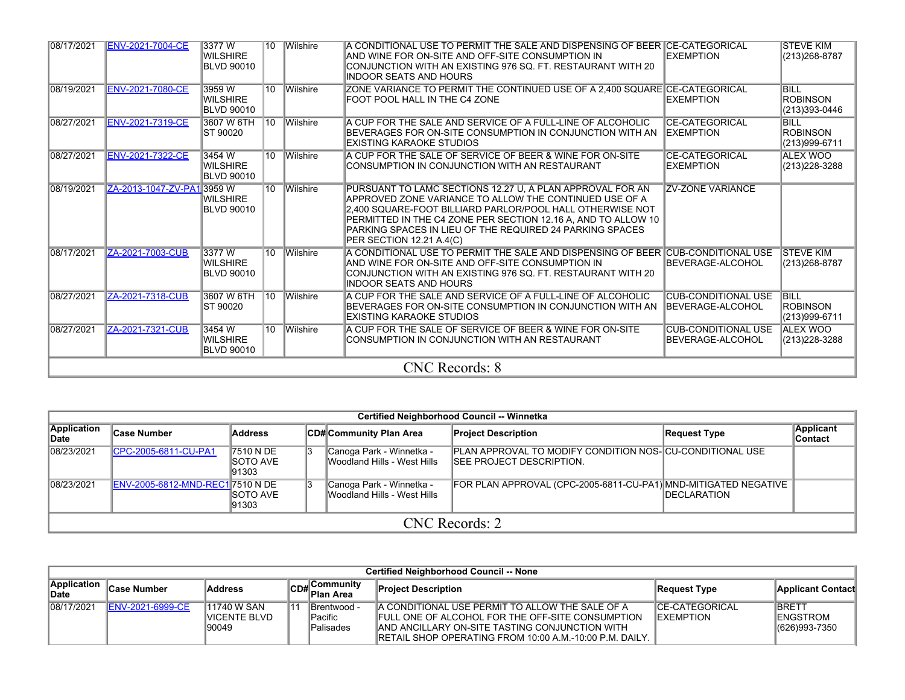| 08/17/2021 | <b>ENV-2021-7004-CE</b>    | 3377W<br><b>WILSHIRE</b><br><b>BLVD 90010</b> | 10 Wilshire     | A CONDITIONAL USE TO PERMIT THE SALE AND DISPENSING OF BEER ICE-CATEGORICAL<br>IAND WINE FOR ON-SITE AND OFF-SITE CONSUMPTION IN<br>CONJUNCTION WITH AN EXISTING 976 SQ. FT. RESTAURANT WITH 20<br>INDOOR SEATS AND HOURS                                                                                                                 | <b>EXEMPTION</b>                               | <b>STEVE KIM</b><br>(213) 268-8787              |
|------------|----------------------------|-----------------------------------------------|-----------------|-------------------------------------------------------------------------------------------------------------------------------------------------------------------------------------------------------------------------------------------------------------------------------------------------------------------------------------------|------------------------------------------------|-------------------------------------------------|
| 08/19/2021 | <b>ENV-2021-7080-CE</b>    | 3959W<br><b>WILSHIRE</b><br><b>BLVD 90010</b> | 10 Wilshire     | ZONE VARIANCE TO PERMIT THE CONTINUED USE OF A 2,400 SQUARE CE-CATEGORICAL<br>FOOT POOL HALL IN THE C4 ZONE                                                                                                                                                                                                                               | <b>EXEMPTION</b>                               | <b>BILL</b><br><b>ROBINSON</b><br>(213)393-0446 |
| 08/27/2021 | <b>ENV-2021-7319-CE</b>    | 3607 W 6TH<br><b>ST 90020</b>                 | 10 Wilshire     | A CUP FOR THE SALE AND SERVICE OF A FULL-LINE OF ALCOHOLIC<br>BEVERAGES FOR ON-SITE CONSUMPTION IN CONJUNCTION WITH AN<br><b>EXISTING KARAOKE STUDIOS</b>                                                                                                                                                                                 | <b>CE-CATEGORICAL</b><br><b>IEXEMPTION</b>     | <b>BILL</b><br><b>ROBINSON</b><br>(213)999-6711 |
| 08/27/2021 | <b>ENV-2021-7322-CE</b>    | 3454 W<br>WILSHIRE<br>BLVD 90010              | 10 Wilshire     | A CUP FOR THE SALE OF SERVICE OF BEER & WINE FOR ON-SITE<br>CONSUMPTION IN CONJUNCTION WITH AN RESTAURANT                                                                                                                                                                                                                                 | <b>CE-CATEGORICAL</b><br><b>EXEMPTION</b>      | <b>ALEX WOO</b><br>(213) 228-3288               |
| 08/19/2021 | ZA-2013-1047-ZV-PA1 3959 W | <b>WILSHIRE</b><br><b>BLVD 90010</b>          | 10 Wilshire     | PURSUANT TO LAMC SECTIONS 12.27 U, A PLAN APPROVAL FOR AN<br>APPROVED ZONE VARIANCE TO ALLOW THE CONTINUED USE OF A<br>2.400 SQUARE-FOOT BILLIARD PARLOR/POOL HALL OTHERWISE NOT<br>PERMITTED IN THE C4 ZONE PER SECTION 12.16 A, AND TO ALLOW 10<br>PARKING SPACES IN LIEU OF THE REQUIRED 24 PARKING SPACES<br>PER SECTION 12.21 A.4(C) | <b>ZV-ZONE VARIANCE</b>                        |                                                 |
| 08/17/2021 | ZA-2021-7003-CUB           | 3377W<br><b>WILSHIRE</b><br><b>BLVD 90010</b> | 10 Wilshire     | A CONDITIONAL USE TO PERMIT THE SALE AND DISPENSING OF BEER CUB-CONDITIONAL USE<br>AND WINE FOR ON-SITE AND OFF-SITE CONSUMPTION IN<br>CONJUNCTION WITH AN EXISTING 976 SQ. FT. RESTAURANT WITH 20<br>INDOOR SEATS AND HOURS                                                                                                              | BEVERAGE-ALCOHOL                               | <b>ISTEVE KIM</b><br>(213) 268-8787             |
| 08/27/2021 | ZA-2021-7318-CUB           | 3607 W 6TH 10<br>ST 90020                     | <b>Wilshire</b> | A CUP FOR THE SALE AND SERVICE OF A FULL-LINE OF ALCOHOLIC<br>BEVERAGES FOR ON-SITE CONSUMPTION IN CONJUNCTION WITH AN<br>EXISTING KARAOKE STUDIOS                                                                                                                                                                                        | <b>CUB-CONDITIONAL USE</b><br>BEVERAGE-ALCOHOL | <b>BILL</b><br><b>ROBINSON</b><br>(213)999-6711 |
| 08/27/2021 | ZA-2021-7321-CUB           | 3454 W<br>WILSHIRE<br><b>BLVD 90010</b>       | 10 Wilshire     | A CUP FOR THE SALE OF SERVICE OF BEER & WINE FOR ON-SITE<br>ICONSUMPTION IN CONJUNCTION WITH AN RESTAURANT                                                                                                                                                                                                                                | <b>CUB-CONDITIONAL USE</b><br>BEVERAGE-ALCOHOL | <b>ALEX WOO</b><br>(213) 228-3288               |
|            |                            |                                               |                 | <b>CNC</b> Records: 8                                                                                                                                                                                                                                                                                                                     |                                                |                                                 |

|                      | Certified Neighborhood Council -- Winnetka |                                         |    |                                                         |                                                                                                      |                     |                             |  |  |
|----------------------|--------------------------------------------|-----------------------------------------|----|---------------------------------------------------------|------------------------------------------------------------------------------------------------------|---------------------|-----------------------------|--|--|
| Application<br>∥Date | ∣Case Number                               | Address                                 |    | CD# Community Plan Area                                 | <b>Project Description</b>                                                                           | Request Type        | Applicant<br><b>Contact</b> |  |  |
| 08/23/2021           | CPC-2005-6811-CU-PA1                       | 7510 N DE<br><b>ISOTO AVE</b><br>191303 | 13 | Canoga Park - Winnetka -<br>Woodland Hills - West Hills | <b>PLAN APPROVAL TO MODIFY CONDITION NOS- CU-CONDITIONAL USE</b><br><b>ISEE PROJECT DESCRIPTION.</b> |                     |                             |  |  |
| 08/23/2021           | ENV-2005-6812-MND-REC17510 N DE            | <b>ISOTO AVE</b><br>91303               | 13 | Canoga Park - Winnetka -<br>Woodland Hills - West Hills | FOR PLAN APPROVAL (CPC-2005-6811-CU-PA1) MND-MITIGATED NEGATIVE                                      | <b>IDECLARATION</b> |                             |  |  |
|                      | CNC Records: 2                             |                                         |    |                                                         |                                                                                                      |                     |                             |  |  |

|                             | <b>Certified Neighborhood Council -- None</b> |                                       |    |                                                  |                                                                                                                                                                                                                                   |                                             |                                                     |  |  |
|-----------------------------|-----------------------------------------------|---------------------------------------|----|--------------------------------------------------|-----------------------------------------------------------------------------------------------------------------------------------------------------------------------------------------------------------------------------------|---------------------------------------------|-----------------------------------------------------|--|--|
| <b>Application</b><br>∣Date | <b>Case Number</b>                            | <b>Address</b>                        |    | ∣Communitv<br>lCD#  <sup>∪On…</sup><br>Plan Area | <b>Project Description</b>                                                                                                                                                                                                        | Request Type                                | <b>Applicant Contact</b>                            |  |  |
| 08/17/2021                  | <b>IENV-2021-6999-CE</b>                      | 11740 W SAN<br>IVICENTE BLVD<br>90049 | ∎4 | IBrentwood -<br><b>Pacific</b><br>Palisades      | IA CONDITIONAL USE PERMIT TO ALLOW THE SALE OF A<br><b>FULL ONE OF ALCOHOL FOR THE OFF-SITE CONSUMPTION</b><br>IAND ANCILLARY ON-SITE TASTING CONJUNCTION WITH<br><b>IRETAIL SHOP OPERATING FROM 10:00 A.M.-10:00 P.M. DAILY.</b> | <b>ICE-CATEGORICAL</b><br><b>IEXEMPTION</b> | <b>IBRETT</b><br><b>IENGSTROM</b><br>(626) 993-7350 |  |  |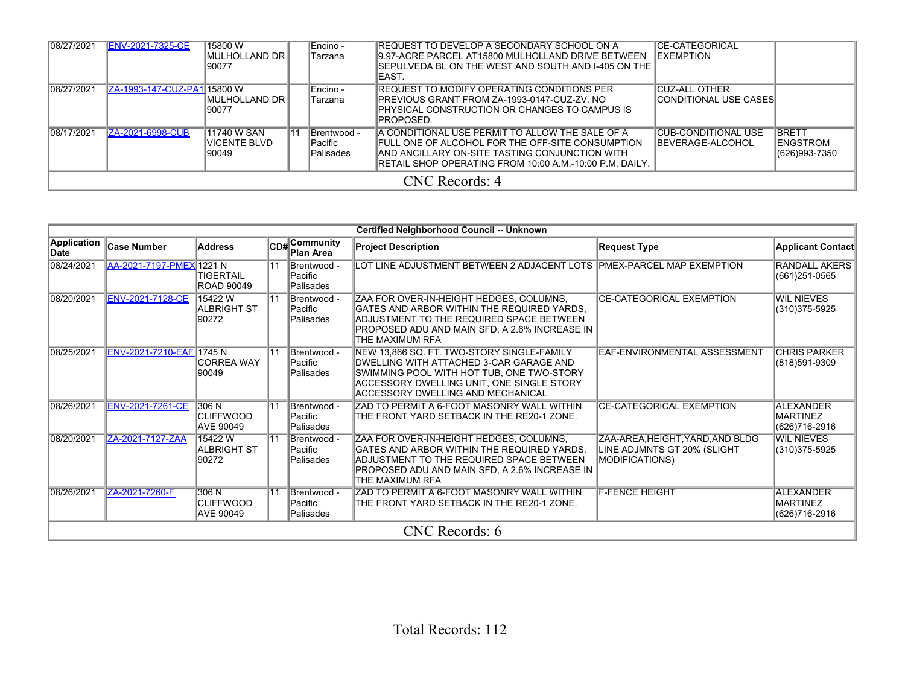| 08/27/2021 | <b>ENV-2021-7325-CE</b>      | 15800 W<br>IMULHOLLAND DR I<br>90077         |    | Encino -<br>Tarzana                                 | IREQUEST TO DEVELOP A SECONDARY SCHOOL ON A<br>9.97-ACRE PARCEL AT15800 MULHOLLAND DRIVE BETWEEN<br>SEPULVEDA BL ON THE WEST AND SOUTH AND I-405 ON THE<br>IEAST.                                                          | <b>ICE-CATEGORICAL</b><br><b>IEXEMPTION</b>            |                                                   |  |
|------------|------------------------------|----------------------------------------------|----|-----------------------------------------------------|----------------------------------------------------------------------------------------------------------------------------------------------------------------------------------------------------------------------------|--------------------------------------------------------|---------------------------------------------------|--|
| 08/27/2021 | IZA-1993-147-CUZ-PA1I15800 W | IMULHOLLAND DR<br>90077                      |    | Encino -<br>Tarzana                                 | IREQUEST TO MODIFY OPERATING CONDITIONS PER<br>IPREVIOUS GRANT FROM ZA-1993-0147-CUZ-ZV. NO<br>PHYSICAL CONSTRUCTION OR CHANGES TO CAMPUS IS<br>IPROPOSED.                                                                 | <b>ICUZ-ALL OTHER</b><br><b>ICONDITIONAL USE CASES</b> |                                                   |  |
| 08/17/2021 | <b>ZA-2021-6998-CUB</b>      | 11740 W SAN<br><b>IVICENTE BLVD</b><br>90049 | 11 | <b>IBrentwood -</b><br>lPacific<br><b>Palisades</b> | IA CONDITIONAL USE PERMIT TO ALLOW THE SALE OF A<br>FULL ONE OF ALCOHOL FOR THE OFF-SITE CONSUMPTION<br><b>JAND ANCILLARY ON-SITE TASTING CONJUNCTION WITH</b><br>IRETAIL SHOP OPERATING FROM 10:00 A.M.-10:00 P.M. DAILY. | ICUB-CONDITIONAL USE<br><b>IBEVERAGE-ALCOHOL</b>       | <b>BRETT</b><br><b>IENGSTROM</b><br>(626)993-7350 |  |
|            | CNC Records: 4               |                                              |    |                                                     |                                                                                                                                                                                                                            |                                                        |                                                   |  |

|                     |                          |                                               |                  |                                     | Certified Neighborhood Council -- Unknown                                                                                                                                                                            |                                                                                          |                                               |  |
|---------------------|--------------------------|-----------------------------------------------|------------------|-------------------------------------|----------------------------------------------------------------------------------------------------------------------------------------------------------------------------------------------------------------------|------------------------------------------------------------------------------------------|-----------------------------------------------|--|
| Application<br>Date | Case Number              | <b>Address</b>                                |                  | CD#Community<br><b>Plan Area</b>    | <b>Project Description</b>                                                                                                                                                                                           | <b>Request Type</b>                                                                      | <b>Applicant Contact</b>                      |  |
| 08/24/2021          | AA-2021-7197-PMEX 1221 N | TIGERTAIL<br><b>ROAD 90049</b>                | $\overline{11}$  | Brentwood -<br>Pacific<br>Palisades | LOT LINE ADJUSTMENT BETWEEN 2 ADJACENT LOTS PMEX-PARCEL MAP EXEMPTION                                                                                                                                                |                                                                                          | <b>RANDALL AKERS</b><br>(661)251-0565         |  |
| 08/20/2021          | <b>ENV-2021-7128-CE</b>  | 15422W<br><b>ALBRIGHT ST</b><br>90272         | $\overline{111}$ | Brentwood -<br>Pacific<br>Palisades | ZAA FOR OVER-IN-HEIGHT HEDGES, COLUMNS,<br>GATES AND ARBOR WITHIN THE REQUIRED YARDS.<br>ADJUSTMENT TO THE REQUIRED SPACE BETWEEN<br>PROPOSED ADU AND MAIN SFD, A 2.6% INCREASE IN<br>THE MAXIMUM RFA                | <b>CE-CATEGORICAL EXEMPTION</b>                                                          | <b>WIL NIEVES</b><br>(310)375-5925            |  |
| 08/25/2021          | ENV-2021-7210-EAF 1745 N | <b>CORREA WAY</b><br>90049                    | $\overline{11}$  | Brentwood -<br>Pacific<br>Palisades | NEW 13,866 SQ. FT. TWO-STORY SINGLE-FAMILY<br>DWELLING WITH ATTACHED 3-CAR GARAGE AND<br>SWIMMING POOL WITH HOT TUB, ONE TWO-STORY<br>ACCESSORY DWELLING UNIT, ONE SINGLE STORY<br>ACCESSORY DWELLING AND MECHANICAL | <b>EAF-ENVIRONMENTAL ASSESSMENT</b>                                                      | <b>CHRIS PARKER</b><br>(818)591-9309          |  |
| 08/26/2021          | <b>ENV-2021-7261-CE</b>  | 306 N<br><b>CLIFFWOOD</b><br><b>AVE 90049</b> | $\overline{11}$  | Brentwood -<br>Pacific<br>Palisades | ZAD TO PERMIT A 6-FOOT MASONRY WALL WITHIN<br>THE FRONT YARD SETBACK IN THE RE20-1 ZONE.                                                                                                                             | <b>CE-CATEGORICAL EXEMPTION</b>                                                          | <b>ALEXANDER</b><br>MARTINEZ<br>(626)716-2916 |  |
| 08/20/2021          | ZA-2021-7127-ZAA         | 15422W<br><b>ALBRIGHT ST</b><br>90272         | $\overline{111}$ | Brentwood -<br>Pacific<br>Palisades | ZAA FOR OVER-IN-HEIGHT HEDGES, COLUMNS,<br>GATES AND ARBOR WITHIN THE REQUIRED YARDS.<br>ADJUSTMENT TO THE REQUIRED SPACE BETWEEN<br>PROPOSED ADU AND MAIN SFD, A 2.6% INCREASE IN<br>THE MAXIMUM RFA                | ZAA-AREA, HEIGHT, YARD, AND BLDG<br>LINE ADJMNTS GT 20% (SLIGHT<br><b>MODIFICATIONS)</b> | <b>WIL NIEVES</b><br>(310)375-5925            |  |
| 08/26/2021          | ZA-2021-7260-F           | 306 N<br><b>CLIFFWOOD</b><br><b>AVE 90049</b> | $\overline{11}$  | Brentwood -<br>Pacific<br>Palisades | ZAD TO PERMIT A 6-FOOT MASONRY WALL WITHIN<br>THE FRONT YARD SETBACK IN THE RE20-1 ZONE.                                                                                                                             | <b>F-FENCE HEIGHT</b>                                                                    | <b>ALEXANDER</b><br>MARTINEZ<br>(626)716-2916 |  |
|                     | <b>CNC</b> Records: 6    |                                               |                  |                                     |                                                                                                                                                                                                                      |                                                                                          |                                               |  |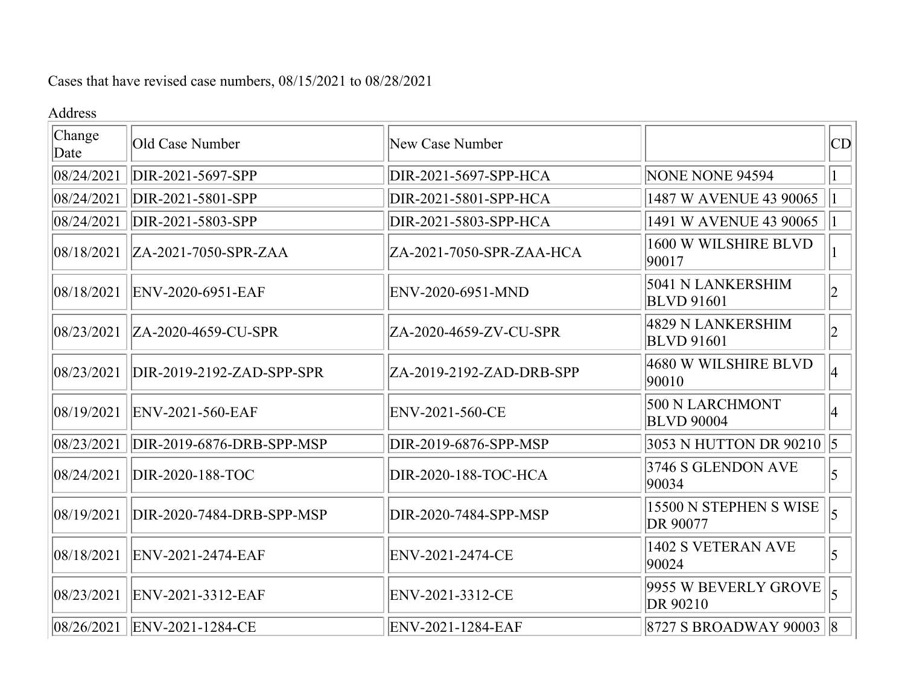Cases that have revised case numbers, 08/15/2021 to 08/28/2021

## Address

| Change<br>Date | Old Case Number              | New Case Number          |                                        | CD             |
|----------------|------------------------------|--------------------------|----------------------------------------|----------------|
| 08/24/2021     | DIR-2021-5697-SPP            | DIR-2021-5697-SPP-HCA    | NONE NONE 94594                        |                |
| 08/24/2021     | DIR-2021-5801-SPP            | DIR-2021-5801-SPP-HCA    | 1487 W AVENUE 43 90065                 |                |
| 08/24/2021     | DIR-2021-5803-SPP            | DIR-2021-5803-SPP-HCA    | 1491 W AVENUE 43 90065                 | 1              |
| 08/18/2021     | ZA-2021-7050-SPR-ZAA         | ZA-2021-7050-SPR-ZAA-HCA | 1600 W WILSHIRE BLVD<br>90017          |                |
| 08/18/2021     | ENV-2020-6951-EAF            | ENV-2020-6951-MND        | 5041 N LANKERSHIM<br><b>BLVD</b> 91601 | 2              |
| 08/23/2021     | ZA-2020-4659-CU-SPR          | ZA-2020-4659-ZV-CU-SPR   | 4829 N LANKERSHIM<br><b>BLVD</b> 91601 | $ 2\rangle$    |
| 08/23/2021     | DIR-2019-2192-ZAD-SPP-SPR    | ZA-2019-2192-ZAD-DRB-SPP | 4680 W WILSHIRE BLVD<br>90010          | 4              |
| 08/19/2021     | ENV-2021-560-EAF             | ENV-2021-560-CE          | 500 N LARCHMONT<br><b>BLVD 90004</b>   | 14             |
| 08/23/2021     | DIR-2019-6876-DRB-SPP-MSP    | DIR-2019-6876-SPP-MSP    | 3053 N HUTTON DR 90210 $ 5 $           |                |
| 08/24/2021     | DIR-2020-188-TOC             | DIR-2020-188-TOC-HCA     | 3746 S GLENDON AVE<br>90034            | $\overline{5}$ |
| 08/19/2021     | DIR-2020-7484-DRB-SPP-MSP    | DIR-2020-7484-SPP-MSP    | 15500 N STEPHEN S WISE<br>DR 90077     | $\overline{5}$ |
| 08/18/2021     | ENV-2021-2474-EAF            | ENV-2021-2474-CE         | 1402 S VETERAN AVE<br>90024            | 5              |
| 08/23/2021     | ENV-2021-3312-EAF            | ENV-2021-3312-CE         | 9955 W BEVERLY GROVE<br>DR 90210       | $\vert$        |
|                | 08/26/2021  ENV-2021-1284-CE | ENV-2021-1284-EAF        | $ 8727 S$ BROADWAY 90003 $ 8$          |                |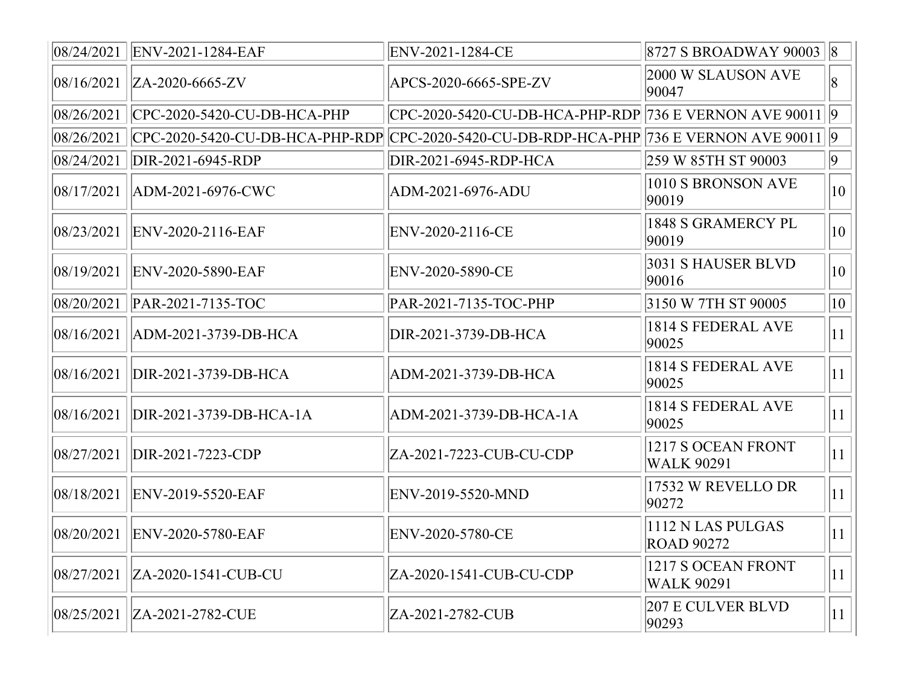|            | 08/24/2021  ENV-2021-1284-EAF                                                                             | ENV-2021-1284-CE                                           | $ 8727 \text{ S}$ BROADWAY 90003 $ 8 $  |              |
|------------|-----------------------------------------------------------------------------------------------------------|------------------------------------------------------------|-----------------------------------------|--------------|
|            | $ 08/16/2021 $  ZA-2020-6665-ZV                                                                           | APCS-2020-6665-SPE-ZV                                      | 2000 W SLAUSON AVE<br>90047             | 8            |
|            | 08/26/2021   CPC-2020-5420-CU-DB-HCA-PHP                                                                  | CPC-2020-5420-CU-DB-HCA-PHP-RDP  736 E VERNON AVE 90011  9 |                                         |              |
|            | $ 08/26/2021 $  CPC-2020-5420-CU-DB-HCA-PHP-RDP CPC-2020-5420-CU-DB-RDP-HCA-PHP 736 E VERNON AVE 90011  9 |                                                            |                                         |              |
|            | 08/24/2021  DIR-2021-6945-RDP                                                                             | DIR-2021-6945-RDP-HCA                                      | 259 W 85TH ST 90003                     | $ 9\rangle$  |
|            | 08/17/2021   ADM-2021-6976-CWC                                                                            | ADM-2021-6976-ADU                                          | 1010 S BRONSON AVE<br>90019             | $ 10\rangle$ |
|            | 08/23/2021  ENV-2020-2116-EAF                                                                             | ENV-2020-2116-CE                                           | 1848 S GRAMERCY PL<br>90019             | $ 10\rangle$ |
|            | 08/19/2021   ENV-2020-5890-EAF                                                                            | ENV-2020-5890-CE                                           | 3031 S HAUSER BLVD<br>90016             | $ 10\rangle$ |
|            | 08/20/2021   PAR-2021-7135-TOC                                                                            | PAR-2021-7135-TOC-PHP                                      | 3150 W 7TH ST 90005                     | $ 10\rangle$ |
|            | 08/16/2021   ADM-2021-3739-DB-HCA                                                                         | DIR-2021-3739-DB-HCA                                       | 1814 S FEDERAL AVE<br>90025             | $ 11\rangle$ |
| 08/16/2021 | DIR-2021-3739-DB-HCA                                                                                      | ADM-2021-3739-DB-HCA                                       | 1814 S FEDERAL AVE<br>90025             | $ 11\rangle$ |
|            | 08/16/2021  DIR-2021-3739-DB-HCA-1A                                                                       | ADM-2021-3739-DB-HCA-1A                                    | 1814 S FEDERAL AVE<br>90025             | $ 11\rangle$ |
| 08/27/2021 | DIR-2021-7223-CDP                                                                                         | ZA-2021-7223-CUB-CU-CDP                                    | 1217 S OCEAN FRONT<br><b>WALK 90291</b> | $ 11\rangle$ |
|            | 08/18/2021  ENV-2019-5520-EAF                                                                             | ENV-2019-5520-MND                                          | 17532 W REVELLO DR<br>90272             | $ 11\rangle$ |
| 08/20/2021 | ENV-2020-5780-EAF                                                                                         | ENV-2020-5780-CE                                           | 1112 N LAS PULGAS<br><b>ROAD 90272</b>  | $ 11\rangle$ |
|            | 08/27/2021   ZA-2020-1541-CUB-CU                                                                          | ZA-2020-1541-CUB-CU-CDP                                    | 1217 S OCEAN FRONT<br><b>WALK 90291</b> | $ 11\rangle$ |
| 08/25/2021 | ZA-2021-2782-CUE                                                                                          | ZA-2021-2782-CUB                                           | <b>207 E CULVER BLVD</b><br>90293       | $ 11\rangle$ |